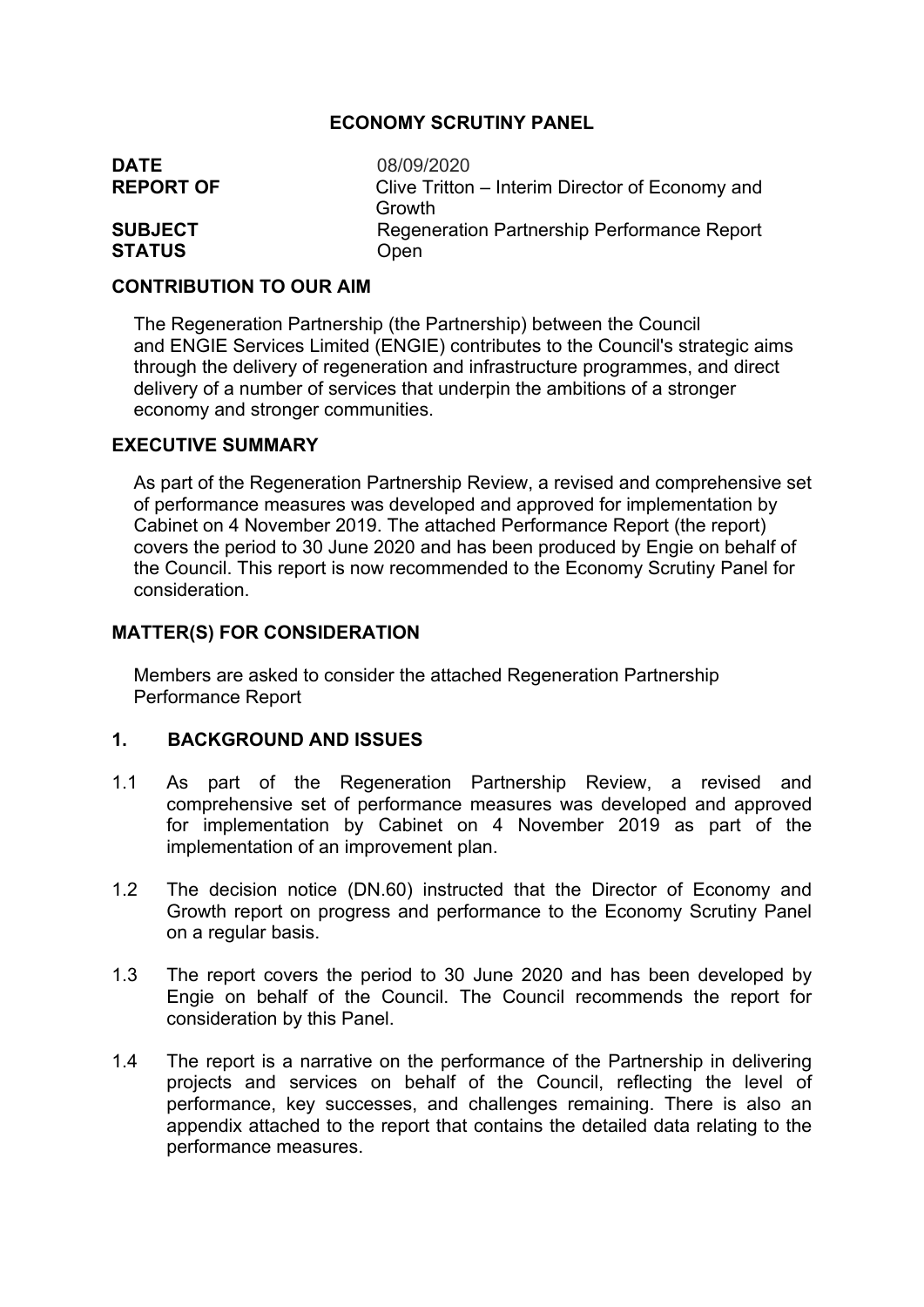## **ECONOMY SCRUTINY PANEL**

| <b>DATE</b>      | 08/09/2020                                      |
|------------------|-------------------------------------------------|
| <b>REPORT OF</b> | Clive Tritton – Interim Director of Economy and |
|                  | Growth                                          |
| <b>SUBJECT</b>   | Regeneration Partnership Performance Report     |
| <b>STATUS</b>    | Open                                            |

### **CONTRIBUTION TO OUR AIM**

The Regeneration Partnership (the Partnership) between the Council and ENGIE Services Limited (ENGIE) contributes to the Council's strategic aims through the delivery of regeneration and infrastructure programmes, and direct delivery of a number of services that underpin the ambitions of a stronger economy and stronger communities.

### **EXECUTIVE SUMMARY**

As part of the Regeneration Partnership Review, a revised and comprehensive set of performance measures was developed and approved for implementation by Cabinet on 4 November 2019. The attached Performance Report (the report) covers the period to 30 June 2020 and has been produced by Engie on behalf of the Council. This report is now recommended to the Economy Scrutiny Panel for consideration.

## **MATTER(S) FOR CONSIDERATION**

Members are asked to consider the attached Regeneration Partnership Performance Report

## **1. BACKGROUND AND ISSUES**

- 1.1 As part of the Regeneration Partnership Review, a revised and comprehensive set of performance measures was developed and approved for implementation by Cabinet on 4 November 2019 as part of the implementation of an improvement plan.
- 1.2 The decision notice (DN.60) instructed that the Director of Economy and Growth report on progress and performance to the Economy Scrutiny Panel on a regular basis.
- 1.3 The report covers the period to 30 June 2020 and has been developed by Engie on behalf of the Council. The Council recommends the report for consideration by this Panel.
- 1.4 The report is a narrative on the performance of the Partnership in delivering projects and services on behalf of the Council, reflecting the level of performance, key successes, and challenges remaining. There is also an appendix attached to the report that contains the detailed data relating to the performance measures.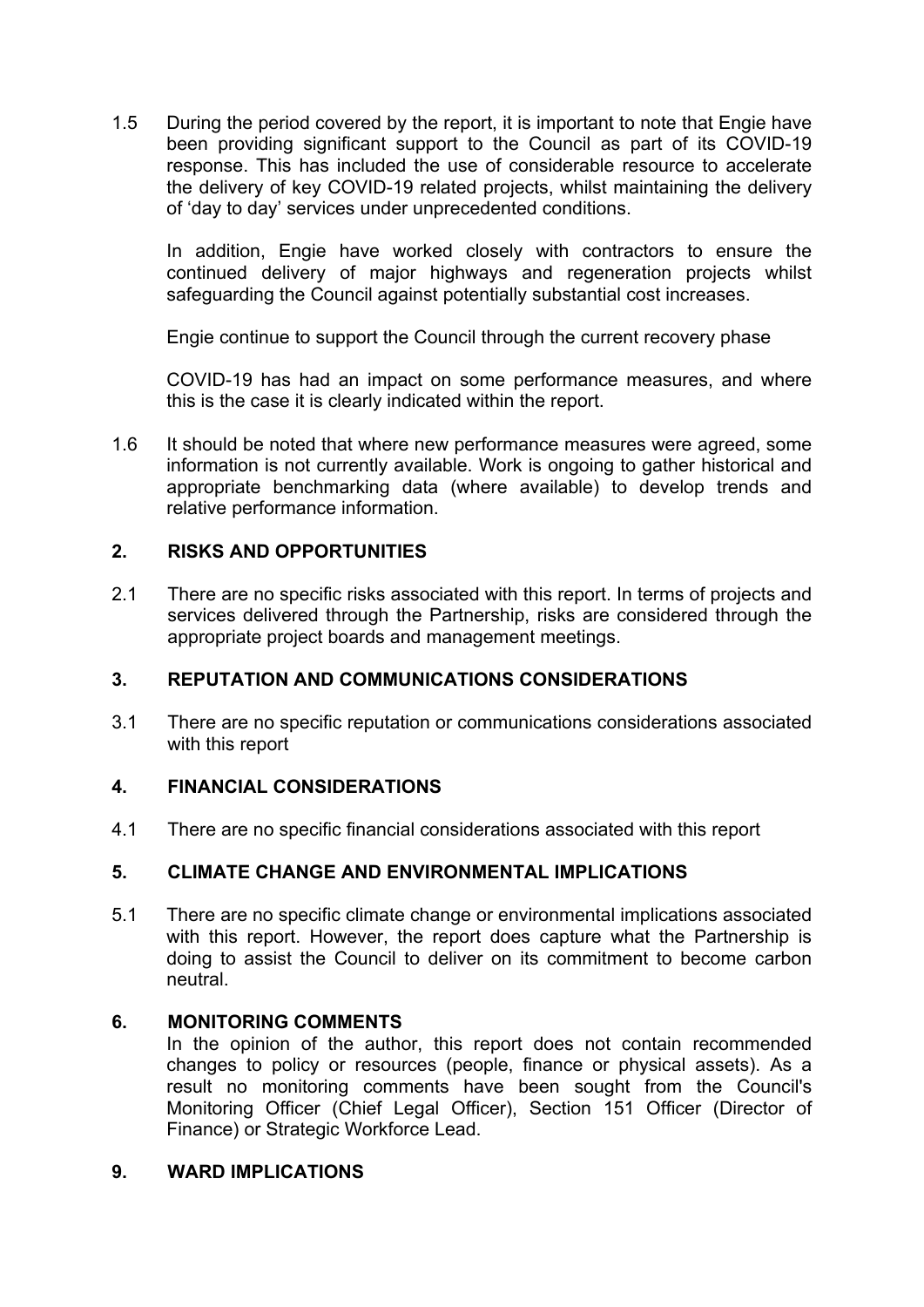1.5 During the period covered by the report, it is important to note that Engie have been providing significant support to the Council as part of its COVID-19 response. This has included the use of considerable resource to accelerate the delivery of key COVID-19 related projects, whilst maintaining the delivery of 'day to day' services under unprecedented conditions.

In addition, Engie have worked closely with contractors to ensure the continued delivery of major highways and regeneration projects whilst safeguarding the Council against potentially substantial cost increases.

Engie continue to support the Council through the current recovery phase

COVID-19 has had an impact on some performance measures, and where this is the case it is clearly indicated within the report.

1.6 It should be noted that where new performance measures were agreed, some information is not currently available. Work is ongoing to gather historical and appropriate benchmarking data (where available) to develop trends and relative performance information.

## **2. RISKS AND OPPORTUNITIES**

2.1 There are no specific risks associated with this report. In terms of projects and services delivered through the Partnership, risks are considered through the appropriate project boards and management meetings.

## **3. REPUTATION AND COMMUNICATIONS CONSIDERATIONS**

3.1 There are no specific reputation or communications considerations associated with this report

## **4. FINANCIAL CONSIDERATIONS**

4.1 There are no specific financial considerations associated with this report

## **5. CLIMATE CHANGE AND ENVIRONMENTAL IMPLICATIONS**

5.1 There are no specific climate change or environmental implications associated with this report. However, the report does capture what the Partnership is doing to assist the Council to deliver on its commitment to become carbon neutral.

## **6. MONITORING COMMENTS**

In the opinion of the author, this report does not contain recommended changes to policy or resources (people, finance or physical assets). As a result no monitoring comments have been sought from the Council's Monitoring Officer (Chief Legal Officer), Section 151 Officer (Director of Finance) or Strategic Workforce Lead.

#### **9. WARD IMPLICATIONS**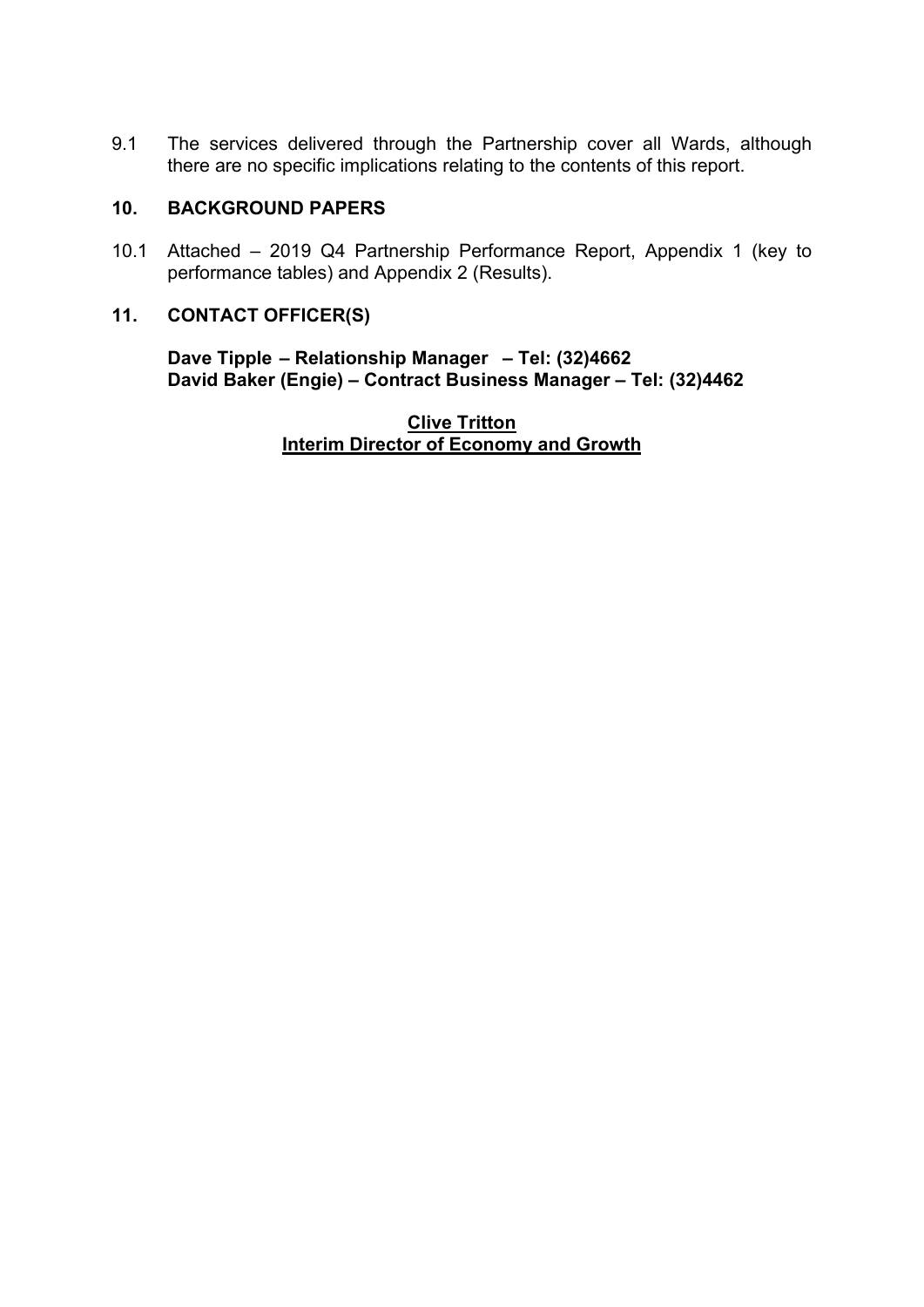9.1 The services delivered through the Partnership cover all Wards, although there are no specific implications relating to the contents of this report.

## **10. BACKGROUND PAPERS**

10.1 Attached – 2019 Q4 Partnership Performance Report, Appendix 1 (key to performance tables) and Appendix 2 (Results).

## **11. CONTACT OFFICER(S)**

**Dave Tipple – Relationship Manager – Tel: (32)4662 David Baker (Engie) – Contract Business Manager – Tel: (32)4462** 

> **Clive Tritton Interim Director of Economy and Growth**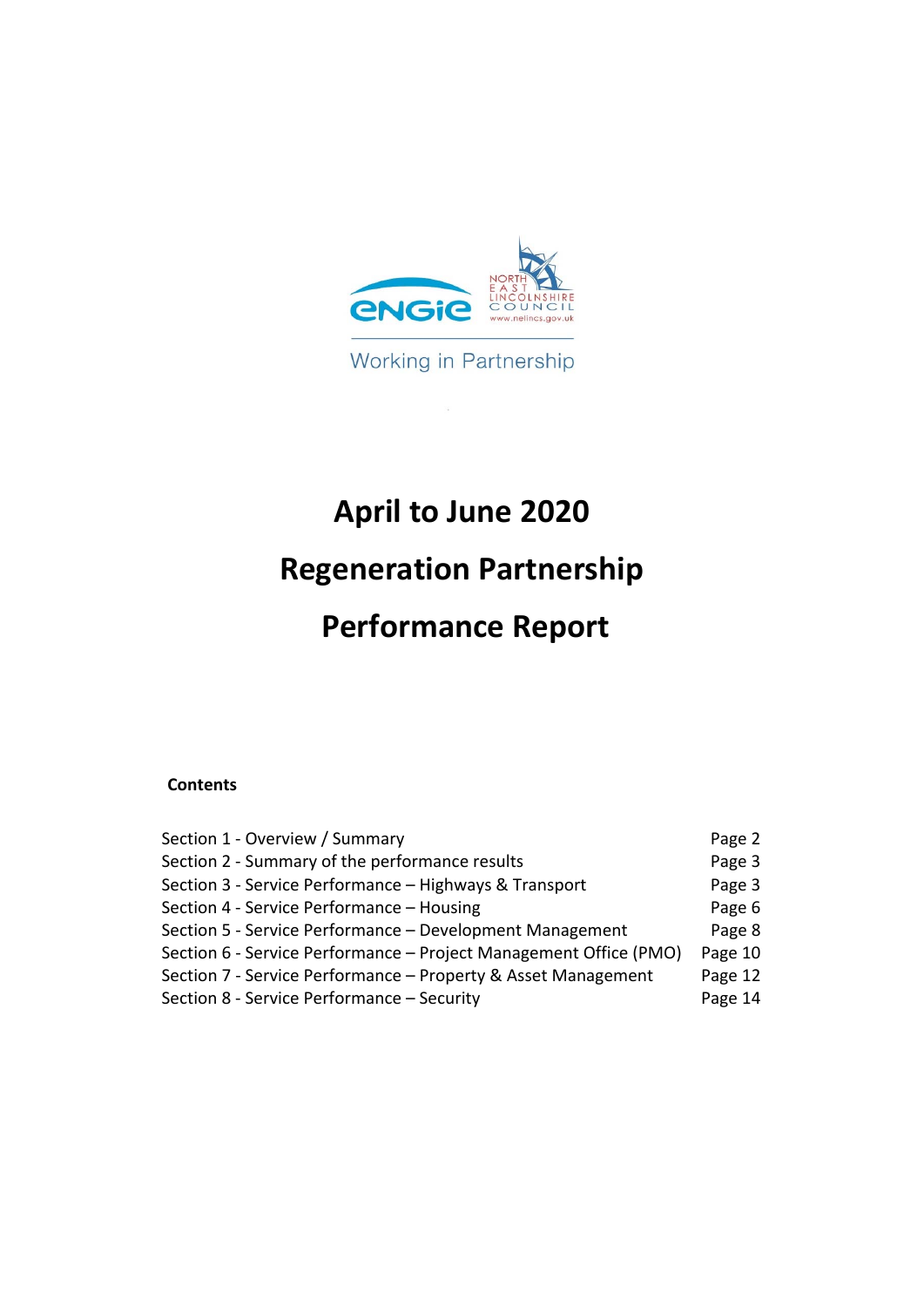

Working in Partnership

# **April to June 2020**

## **Regeneration Partnership**

## **Performance Report**

## **Contents**

| Section 1 - Overview / Summary                                    | Page 2  |
|-------------------------------------------------------------------|---------|
| Section 2 - Summary of the performance results                    | Page 3  |
| Section 3 - Service Performance - Highways & Transport            | Page 3  |
| Section 4 - Service Performance - Housing                         | Page 6  |
| Section 5 - Service Performance - Development Management          | Page 8  |
| Section 6 - Service Performance – Project Management Office (PMO) | Page 10 |
| Section 7 - Service Performance - Property & Asset Management     | Page 12 |
| Section 8 - Service Performance - Security                        | Page 14 |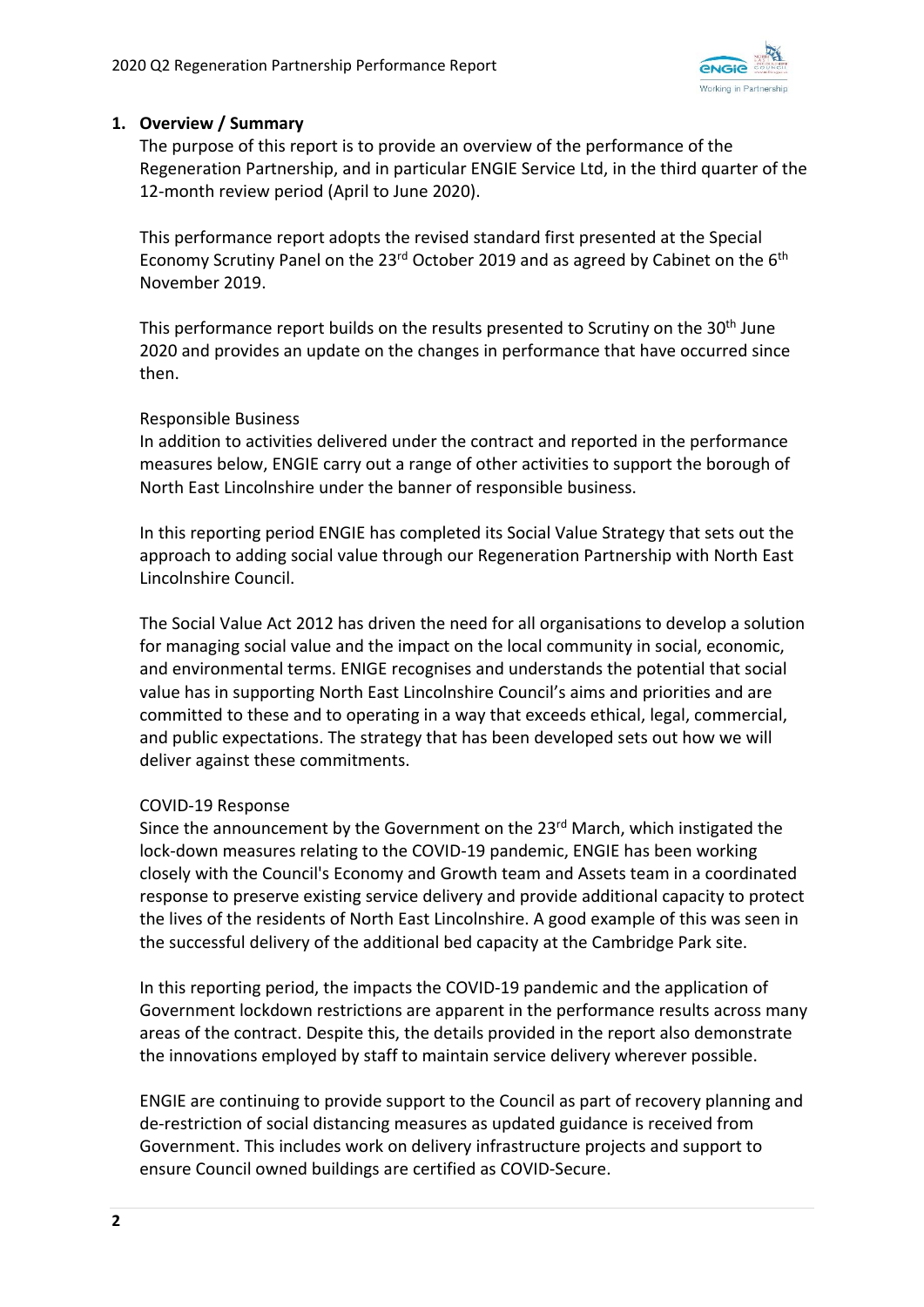

## **1. Overview / Summary**

The purpose of this report is to provide an overview of the performance of the Regeneration Partnership, and in particular ENGIE Service Ltd, in the third quarter of the 12-month review period (April to June 2020).

This performance report adopts the revised standard first presented at the Special Economy Scrutiny Panel on the 23<sup>rd</sup> October 2019 and as agreed by Cabinet on the 6<sup>th</sup> November 2019.

This performance report builds on the results presented to Scrutiny on the 30<sup>th</sup> June 2020 and provides an update on the changes in performance that have occurred since then.

## Responsible Business

In addition to activities delivered under the contract and reported in the performance measures below, ENGIE carry out a range of other activities to support the borough of North East Lincolnshire under the banner of responsible business.

In this reporting period ENGIE has completed its Social Value Strategy that sets out the approach to adding social value through our Regeneration Partnership with North East Lincolnshire Council.

The Social Value Act 2012 has driven the need for all organisations to develop a solution for managing social value and the impact on the local community in social, economic, and environmental terms. ENIGE recognises and understands the potential that social value has in supporting North East Lincolnshire Council's aims and priorities and are committed to these and to operating in a way that exceeds ethical, legal, commercial, and public expectations. The strategy that has been developed sets out how we will deliver against these commitments.

## COVID‐19 Response

Since the announcement by the Government on the 23<sup>rd</sup> March, which instigated the lock‐down measures relating to the COVID‐19 pandemic, ENGIE has been working closely with the Council's Economy and Growth team and Assets team in a coordinated response to preserve existing service delivery and provide additional capacity to protect the lives of the residents of North East Lincolnshire. A good example of this was seen in the successful delivery of the additional bed capacity at the Cambridge Park site.

In this reporting period, the impacts the COVID‐19 pandemic and the application of Government lockdown restrictions are apparent in the performance results across many areas of the contract. Despite this, the details provided in the report also demonstrate the innovations employed by staff to maintain service delivery wherever possible.

ENGIE are continuing to provide support to the Council as part of recovery planning and de‐restriction of social distancing measures as updated guidance is received from Government. This includes work on delivery infrastructure projects and support to ensure Council owned buildings are certified as COVID‐Secure.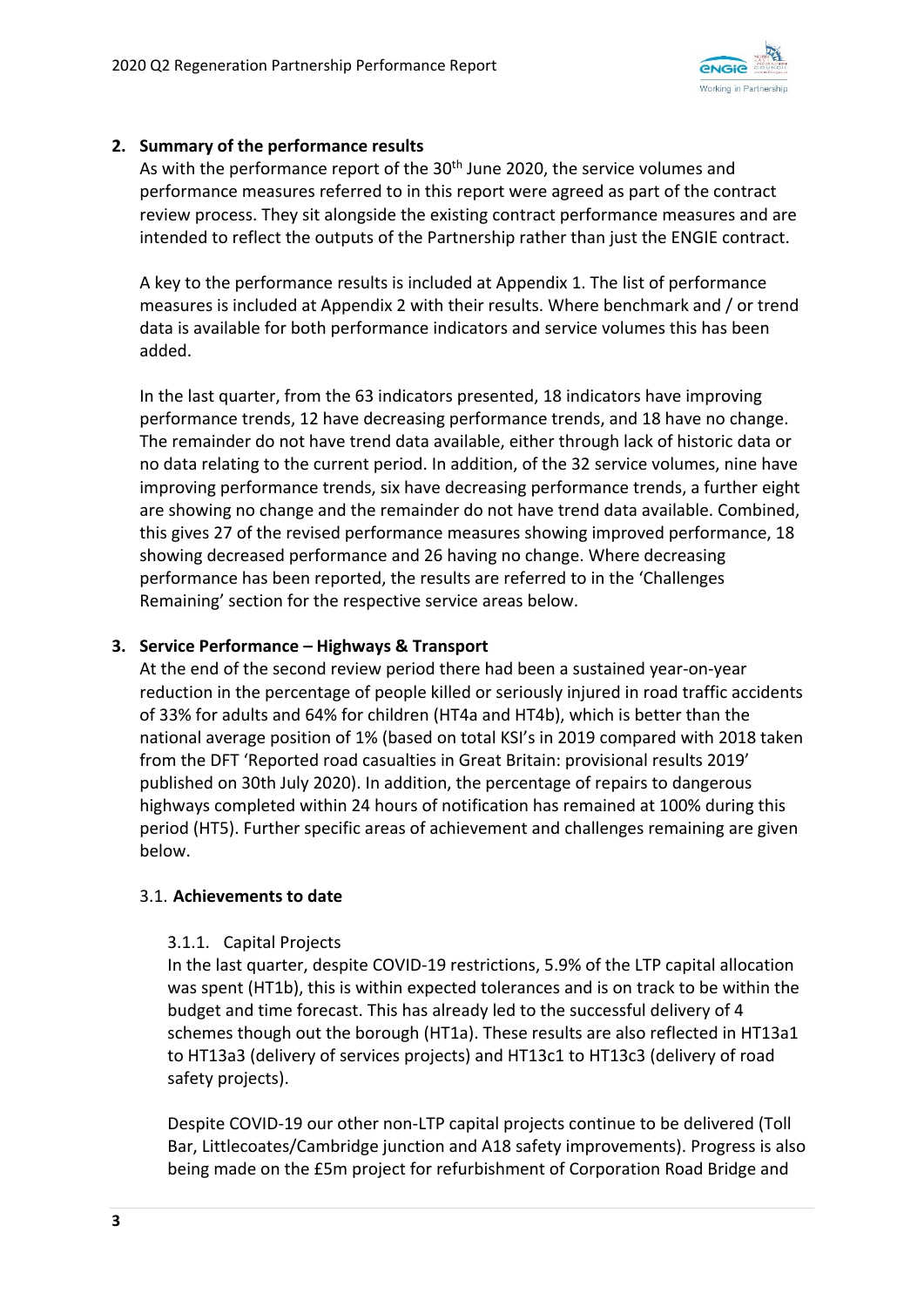

## **2. Summary of the performance results**

As with the performance report of the  $30<sup>th</sup>$  June 2020, the service volumes and performance measures referred to in this report were agreed as part of the contract review process. They sit alongside the existing contract performance measures and are intended to reflect the outputs of the Partnership rather than just the ENGIE contract.

A key to the performance results is included at Appendix 1. The list of performance measures is included at Appendix 2 with their results. Where benchmark and / or trend data is available for both performance indicators and service volumes this has been added.

In the last quarter, from the 63 indicators presented, 18 indicators have improving performance trends, 12 have decreasing performance trends, and 18 have no change. The remainder do not have trend data available, either through lack of historic data or no data relating to the current period. In addition, of the 32 service volumes, nine have improving performance trends, six have decreasing performance trends, a further eight are showing no change and the remainder do not have trend data available. Combined, this gives 27 of the revised performance measures showing improved performance, 18 showing decreased performance and 26 having no change. Where decreasing performance has been reported, the results are referred to in the 'Challenges Remaining' section for the respective service areas below.

## **3. Service Performance – Highways & Transport**

At the end of the second review period there had been a sustained year‐on‐year reduction in the percentage of people killed or seriously injured in road traffic accidents of 33% for adults and 64% for children (HT4a and HT4b), which is better than the national average position of 1% (based on total KSI's in 2019 compared with 2018 taken from the DFT 'Reported road casualties in Great Britain: provisional results 2019' published on 30th July 2020). In addition, the percentage of repairs to dangerous highways completed within 24 hours of notification has remained at 100% during this period (HT5). Further specific areas of achievement and challenges remaining are given below.

## 3.1. **Achievements to date**

#### 3.1.1. Capital Projects

In the last quarter, despite COVID‐19 restrictions, 5.9% of the LTP capital allocation was spent (HT1b), this is within expected tolerances and is on track to be within the budget and time forecast. This has already led to the successful delivery of 4 schemes though out the borough (HT1a). These results are also reflected in HT13a1 to HT13a3 (delivery of services projects) and HT13c1 to HT13c3 (delivery of road safety projects).

Despite COVID‐19 our other non‐LTP capital projects continue to be delivered (Toll Bar, Littlecoates/Cambridge junction and A18 safety improvements). Progress is also being made on the £5m project for refurbishment of Corporation Road Bridge and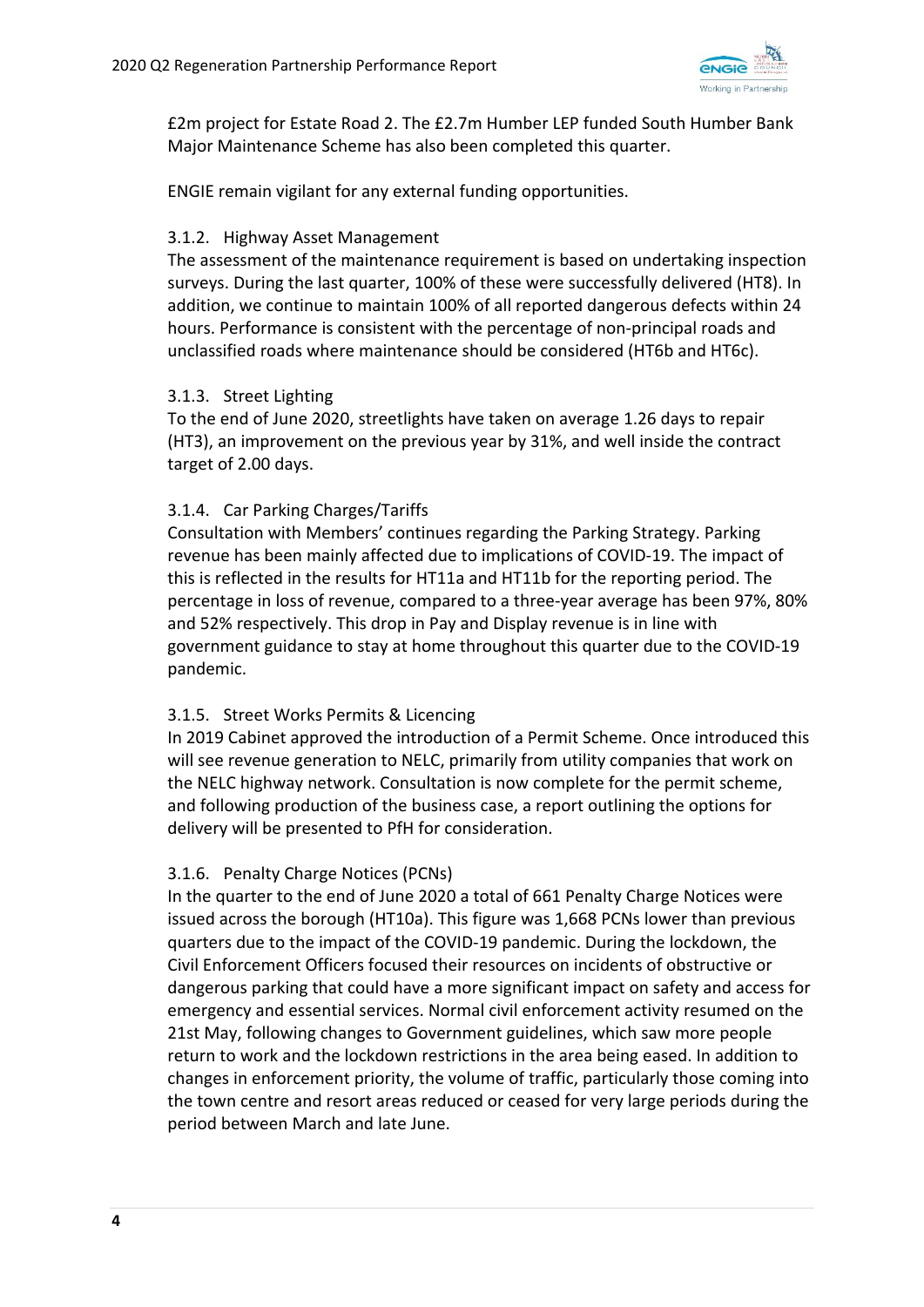

£2m project for Estate Road 2. The £2.7m Humber LEP funded South Humber Bank Major Maintenance Scheme has also been completed this quarter.

ENGIE remain vigilant for any external funding opportunities.

#### 3.1.2. Highway Asset Management

The assessment of the maintenance requirement is based on undertaking inspection surveys. During the last quarter, 100% of these were successfully delivered (HT8). In addition, we continue to maintain 100% of all reported dangerous defects within 24 hours. Performance is consistent with the percentage of non‐principal roads and unclassified roads where maintenance should be considered (HT6b and HT6c).

### 3.1.3. Street Lighting

To the end of June 2020, streetlights have taken on average 1.26 days to repair (HT3), an improvement on the previous year by 31%, and well inside the contract target of 2.00 days.

## 3.1.4. Car Parking Charges/Tariffs

Consultation with Members' continues regarding the Parking Strategy. Parking revenue has been mainly affected due to implications of COVID‐19. The impact of this is reflected in the results for HT11a and HT11b for the reporting period. The percentage in loss of revenue, compared to a three‐year average has been 97%, 80% and 52% respectively. This drop in Pay and Display revenue is in line with government guidance to stay at home throughout this quarter due to the COVID‐19 pandemic.

## 3.1.5. Street Works Permits & Licencing

In 2019 Cabinet approved the introduction of a Permit Scheme. Once introduced this will see revenue generation to NELC, primarily from utility companies that work on the NELC highway network. Consultation is now complete for the permit scheme, and following production of the business case, a report outlining the options for delivery will be presented to PfH for consideration.

## 3.1.6. Penalty Charge Notices (PCNs)

In the quarter to the end of June 2020 a total of 661 Penalty Charge Notices were issued across the borough (HT10a). This figure was 1,668 PCNs lower than previous quarters due to the impact of the COVID‐19 pandemic. During the lockdown, the Civil Enforcement Officers focused their resources on incidents of obstructive or dangerous parking that could have a more significant impact on safety and access for emergency and essential services. Normal civil enforcement activity resumed on the 21st May, following changes to Government guidelines, which saw more people return to work and the lockdown restrictions in the area being eased. In addition to changes in enforcement priority, the volume of traffic, particularly those coming into the town centre and resort areas reduced or ceased for very large periods during the period between March and late June.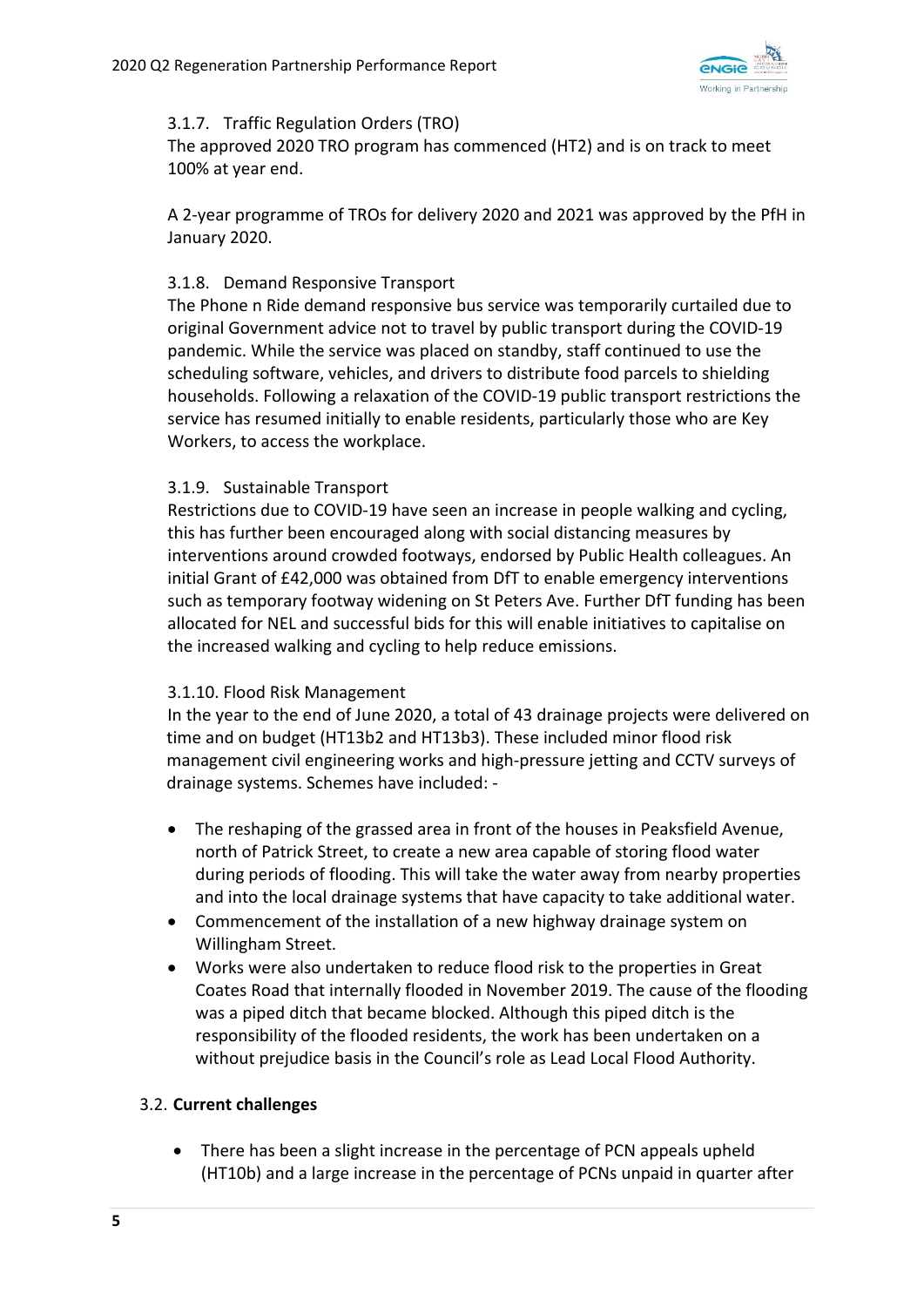

#### 3.1.7. Traffic Regulation Orders (TRO)

The approved 2020 TRO program has commenced (HT2) and is on track to meet 100% at year end.

A 2‐year programme of TROs for delivery 2020 and 2021 was approved by the PfH in January 2020.

## 3.1.8. Demand Responsive Transport

The Phone n Ride demand responsive bus service was temporarily curtailed due to original Government advice not to travel by public transport during the COVID‐19 pandemic. While the service was placed on standby, staff continued to use the scheduling software, vehicles, and drivers to distribute food parcels to shielding households. Following a relaxation of the COVID‐19 public transport restrictions the service has resumed initially to enable residents, particularly those who are Key Workers, to access the workplace.

### 3.1.9. Sustainable Transport

Restrictions due to COVID‐19 have seen an increase in people walking and cycling, this has further been encouraged along with social distancing measures by interventions around crowded footways, endorsed by Public Health colleagues. An initial Grant of £42,000 was obtained from DfT to enable emergency interventions such as temporary footway widening on St Peters Ave. Further DfT funding has been allocated for NEL and successful bids for this will enable initiatives to capitalise on the increased walking and cycling to help reduce emissions.

#### 3.1.10. Flood Risk Management

 In the year to the end of June 2020, a total of 43 drainage projects were delivered on time and on budget (HT13b2 and HT13b3). These included minor flood risk management civil engineering works and high‐pressure jetting and CCTV surveys of drainage systems. Schemes have included: ‐

- The reshaping of the grassed area in front of the houses in Peaksfield Avenue, north of Patrick Street, to create a new area capable of storing flood water during periods of flooding. This will take the water away from nearby properties and into the local drainage systems that have capacity to take additional water.
- Commencement of the installation of a new highway drainage system on Willingham Street.
- Works were also undertaken to reduce flood risk to the properties in Great Coates Road that internally flooded in November 2019. The cause of the flooding was a piped ditch that became blocked. Although this piped ditch is the responsibility of the flooded residents, the work has been undertaken on a without prejudice basis in the Council's role as Lead Local Flood Authority.

#### 3.2. **Current challenges**

• There has been a slight increase in the percentage of PCN appeals upheld (HT10b) and a large increase in the percentage of PCNs unpaid in quarter after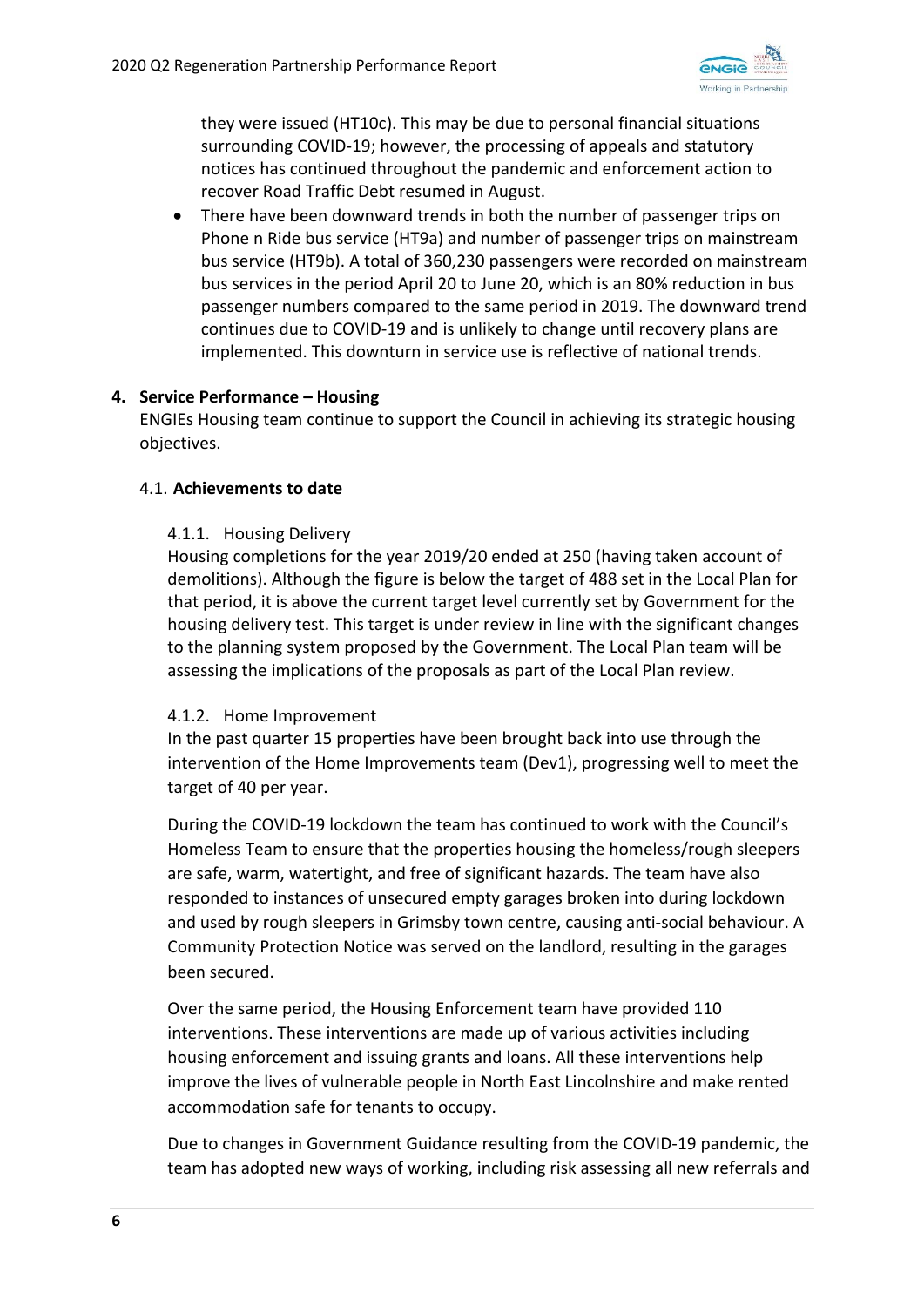

they were issued (HT10c). This may be due to personal financial situations surrounding COVID‐19; however, the processing of appeals and statutory notices has continued throughout the pandemic and enforcement action to recover Road Traffic Debt resumed in August.

 There have been downward trends in both the number of passenger trips on Phone n Ride bus service (HT9a) and number of passenger trips on mainstream bus service (HT9b). A total of 360,230 passengers were recorded on mainstream bus services in the period April 20 to June 20, which is an 80% reduction in bus passenger numbers compared to the same period in 2019. The downward trend continues due to COVID‐19 and is unlikely to change until recovery plans are implemented. This downturn in service use is reflective of national trends.

## **4. Service Performance – Housing**

ENGIEs Housing team continue to support the Council in achieving its strategic housing objectives.

#### 4.1. **Achievements to date**

### 4.1.1. Housing Delivery

Housing completions for the year 2019/20 ended at 250 (having taken account of demolitions). Although the figure is below the target of 488 set in the Local Plan for that period, it is above the current target level currently set by Government for the housing delivery test. This target is under review in line with the significant changes to the planning system proposed by the Government. The Local Plan team will be assessing the implications of the proposals as part of the Local Plan review.

#### 4.1.2. Home Improvement

In the past quarter 15 properties have been brought back into use through the intervention of the Home Improvements team (Dev1), progressing well to meet the target of 40 per year.

During the COVID‐19 lockdown the team has continued to work with the Council's Homeless Team to ensure that the properties housing the homeless/rough sleepers are safe, warm, watertight, and free of significant hazards. The team have also responded to instances of unsecured empty garages broken into during lockdown and used by rough sleepers in Grimsby town centre, causing anti‐social behaviour. A Community Protection Notice was served on the landlord, resulting in the garages been secured.

Over the same period, the Housing Enforcement team have provided 110 interventions. These interventions are made up of various activities including housing enforcement and issuing grants and loans. All these interventions help improve the lives of vulnerable people in North East Lincolnshire and make rented accommodation safe for tenants to occupy.

Due to changes in Government Guidance resulting from the COVID‐19 pandemic, the team has adopted new ways of working, including risk assessing all new referrals and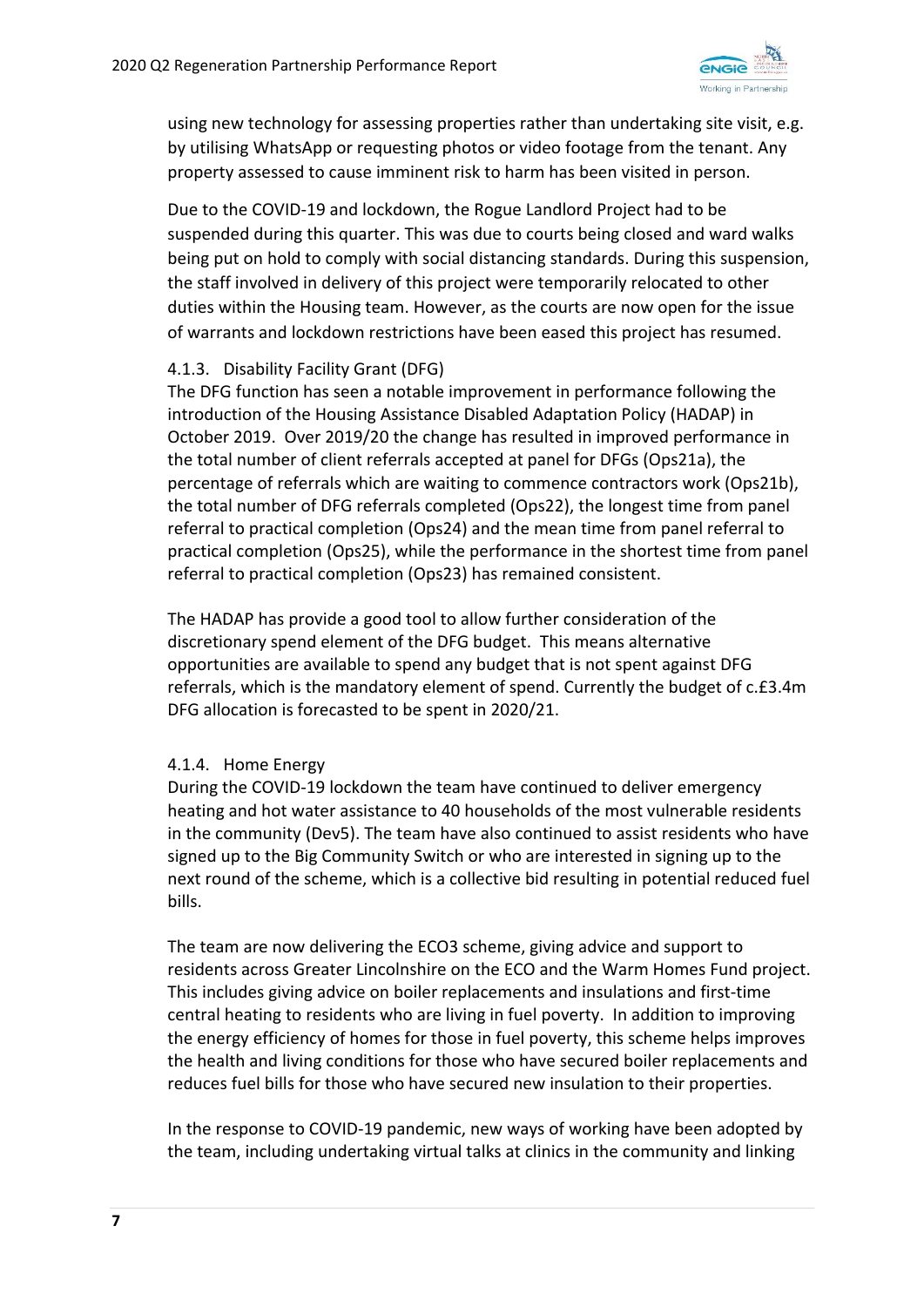

using new technology for assessing properties rather than undertaking site visit, e.g. by utilising WhatsApp or requesting photos or video footage from the tenant. Any property assessed to cause imminent risk to harm has been visited in person.

Due to the COVID‐19 and lockdown, the Rogue Landlord Project had to be suspended during this quarter. This was due to courts being closed and ward walks being put on hold to comply with social distancing standards. During this suspension, the staff involved in delivery of this project were temporarily relocated to other duties within the Housing team. However, as the courts are now open for the issue of warrants and lockdown restrictions have been eased this project has resumed.

### 4.1.3. Disability Facility Grant (DFG)

The DFG function has seen a notable improvement in performance following the introduction of the Housing Assistance Disabled Adaptation Policy (HADAP) in October 2019. Over 2019/20 the change has resulted in improved performance in the total number of client referrals accepted at panel for DFGs (Ops21a), the percentage of referrals which are waiting to commence contractors work (Ops21b), the total number of DFG referrals completed (Ops22), the longest time from panel referral to practical completion (Ops24) and the mean time from panel referral to practical completion (Ops25), while the performance in the shortest time from panel referral to practical completion (Ops23) has remained consistent.

The HADAP has provide a good tool to allow further consideration of the discretionary spend element of the DFG budget. This means alternative opportunities are available to spend any budget that is not spent against DFG referrals, which is the mandatory element of spend. Currently the budget of c.£3.4m DFG allocation is forecasted to be spent in 2020/21.

## 4.1.4. Home Energy

During the COVID‐19 lockdown the team have continued to deliver emergency heating and hot water assistance to 40 households of the most vulnerable residents in the community (Dev5). The team have also continued to assist residents who have signed up to the Big Community Switch or who are interested in signing up to the next round of the scheme, which is a collective bid resulting in potential reduced fuel bills.

The team are now delivering the ECO3 scheme, giving advice and support to residents across Greater Lincolnshire on the ECO and the Warm Homes Fund project. This includes giving advice on boiler replacements and insulations and first‐time central heating to residents who are living in fuel poverty. In addition to improving the energy efficiency of homes for those in fuel poverty, this scheme helps improves the health and living conditions for those who have secured boiler replacements and reduces fuel bills for those who have secured new insulation to their properties.

In the response to COVID‐19 pandemic, new ways of working have been adopted by the team, including undertaking virtual talks at clinics in the community and linking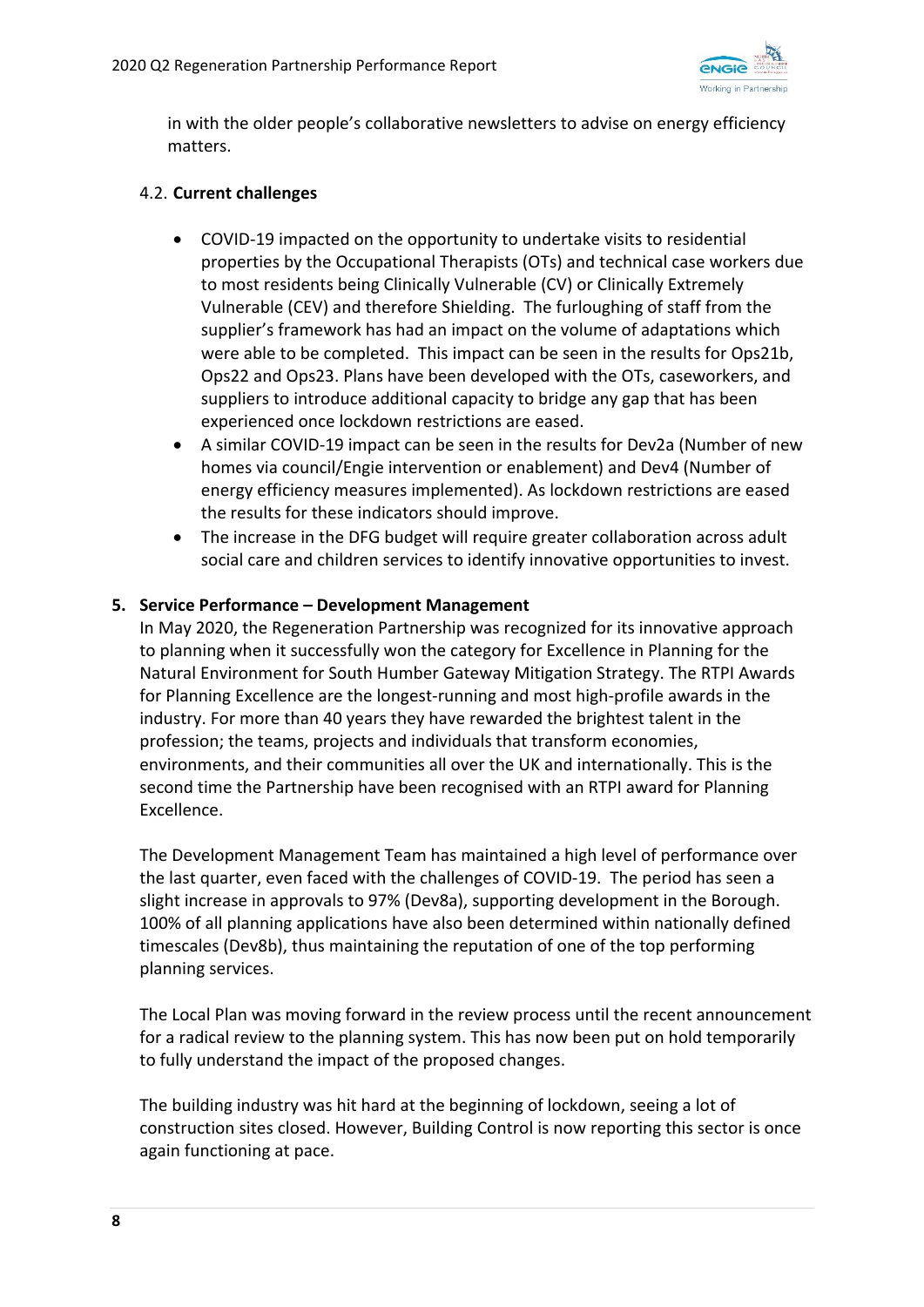

in with the older people's collaborative newsletters to advise on energy efficiency matters.

## 4.2. **Current challenges**

- COVID‐19 impacted on the opportunity to undertake visits to residential properties by the Occupational Therapists (OTs) and technical case workers due to most residents being Clinically Vulnerable (CV) or Clinically Extremely Vulnerable (CEV) and therefore Shielding. The furloughing of staff from the supplier's framework has had an impact on the volume of adaptations which were able to be completed. This impact can be seen in the results for Ops21b, Ops22 and Ops23. Plans have been developed with the OTs, caseworkers, and suppliers to introduce additional capacity to bridge any gap that has been experienced once lockdown restrictions are eased.
- A similar COVID‐19 impact can be seen in the results for Dev2a (Number of new homes via council/Engie intervention or enablement) and Dev4 (Number of energy efficiency measures implemented). As lockdown restrictions are eased the results for these indicators should improve.
- The increase in the DFG budget will require greater collaboration across adult social care and children services to identify innovative opportunities to invest.

### **5. Service Performance – Development Management**

In May 2020, the Regeneration Partnership was recognized for its innovative approach to planning when it successfully won the category for Excellence in Planning for the Natural Environment for South Humber Gateway Mitigation Strategy. The RTPI Awards for Planning Excellence are the longest-running and most high-profile awards in the industry. For more than 40 years they have rewarded the brightest talent in the profession; the teams, projects and individuals that transform economies, environments, and their communities all over the UK and internationally. This is the second time the Partnership have been recognised with an RTPI award for Planning Excellence.

The Development Management Team has maintained a high level of performance over the last quarter, even faced with the challenges of COVID‐19. The period has seen a slight increase in approvals to 97% (Dev8a), supporting development in the Borough. 100% of all planning applications have also been determined within nationally defined timescales (Dev8b), thus maintaining the reputation of one of the top performing planning services.

The Local Plan was moving forward in the review process until the recent announcement for a radical review to the planning system. This has now been put on hold temporarily to fully understand the impact of the proposed changes.

The building industry was hit hard at the beginning of lockdown, seeing a lot of construction sites closed. However, Building Control is now reporting this sector is once again functioning at pace.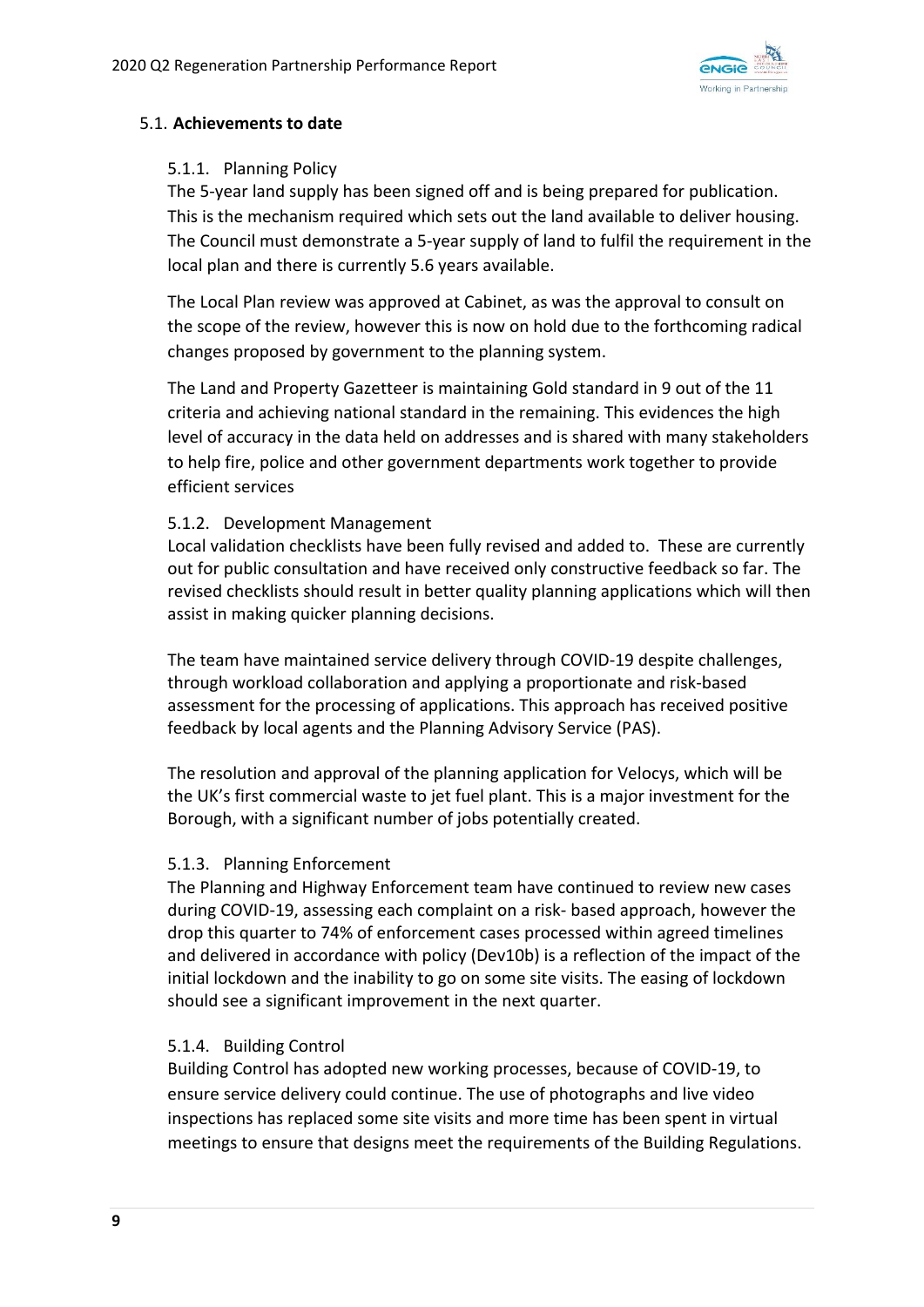

## 5.1. **Achievements to date**

#### 5.1.1. Planning Policy

The 5‐year land supply has been signed off and is being prepared for publication. This is the mechanism required which sets out the land available to deliver housing. The Council must demonstrate a 5‐year supply of land to fulfil the requirement in the local plan and there is currently 5.6 years available.

The Local Plan review was approved at Cabinet, as was the approval to consult on the scope of the review, however this is now on hold due to the forthcoming radical changes proposed by government to the planning system.

The Land and Property Gazetteer is maintaining Gold standard in 9 out of the 11 criteria and achieving national standard in the remaining. This evidences the high level of accuracy in the data held on addresses and is shared with many stakeholders to help fire, police and other government departments work together to provide efficient services

### 5.1.2. Development Management

Local validation checklists have been fully revised and added to. These are currently out for public consultation and have received only constructive feedback so far. The revised checklists should result in better quality planning applications which will then assist in making quicker planning decisions.

The team have maintained service delivery through COVID‐19 despite challenges, through workload collaboration and applying a proportionate and risk‐based assessment for the processing of applications. This approach has received positive feedback by local agents and the Planning Advisory Service (PAS).

The resolution and approval of the planning application for Velocys, which will be the UK's first commercial waste to jet fuel plant. This is a major investment for the Borough, with a significant number of jobs potentially created.

#### 5.1.3. Planning Enforcement

The Planning and Highway Enforcement team have continued to review new cases during COVID‐19, assessing each complaint on a risk‐ based approach, however the drop this quarter to 74% of enforcement cases processed within agreed timelines and delivered in accordance with policy (Dev10b) is a reflection of the impact of the initial lockdown and the inability to go on some site visits. The easing of lockdown should see a significant improvement in the next quarter.

#### 5.1.4. Building Control

Building Control has adopted new working processes, because of COVID‐19, to ensure service delivery could continue. The use of photographs and live video inspections has replaced some site visits and more time has been spent in virtual meetings to ensure that designs meet the requirements of the Building Regulations.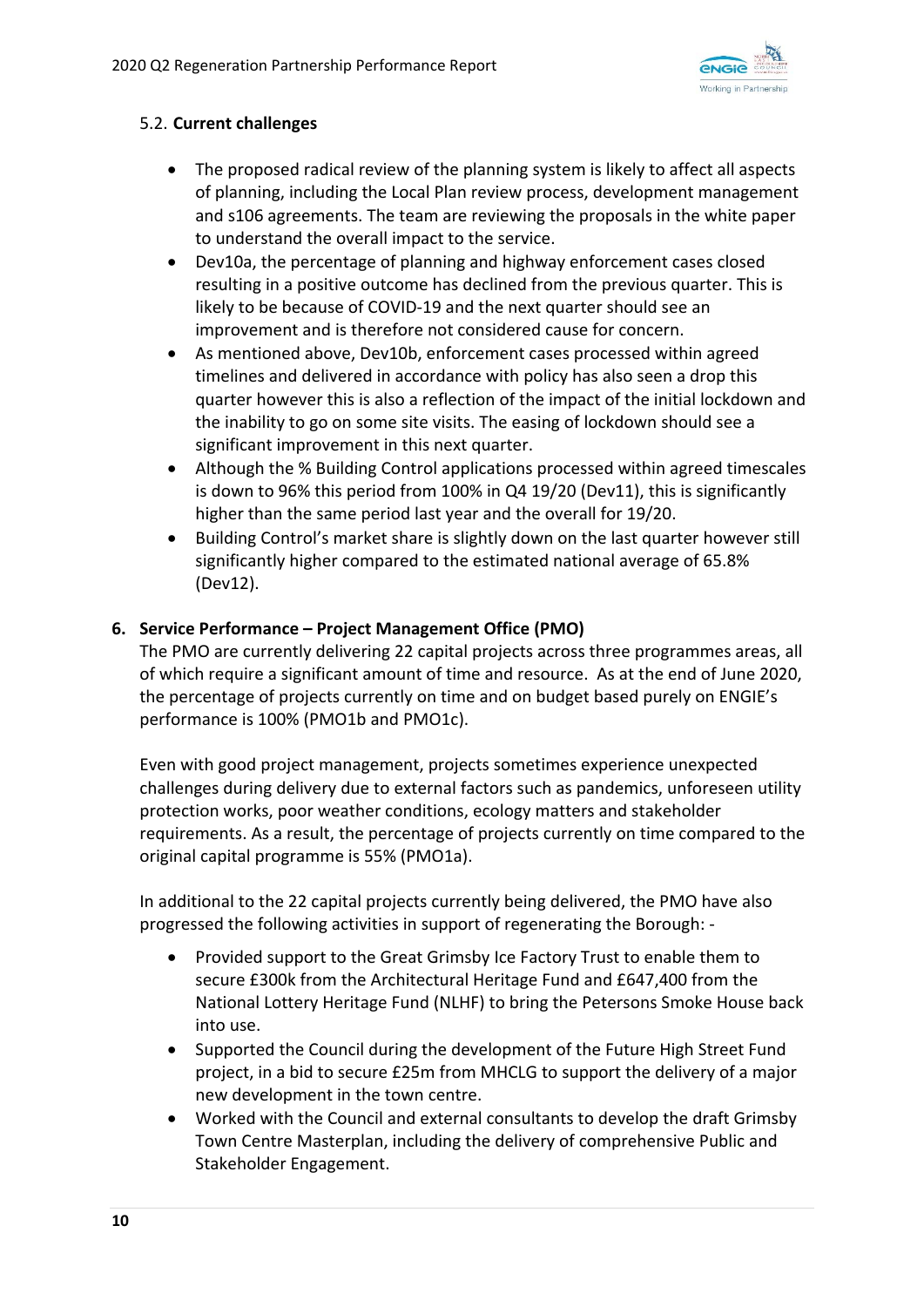

## 5.2. **Current challenges**

- The proposed radical review of the planning system is likely to affect all aspects of planning, including the Local Plan review process, development management and s106 agreements. The team are reviewing the proposals in the white paper to understand the overall impact to the service.
- Dev10a, the percentage of planning and highway enforcement cases closed resulting in a positive outcome has declined from the previous quarter. This is likely to be because of COVID‐19 and the next quarter should see an improvement and is therefore not considered cause for concern.
- As mentioned above, Dev10b, enforcement cases processed within agreed timelines and delivered in accordance with policy has also seen a drop this quarter however this is also a reflection of the impact of the initial lockdown and the inability to go on some site visits. The easing of lockdown should see a significant improvement in this next quarter.
- Although the % Building Control applications processed within agreed timescales is down to 96% this period from 100% in Q4 19/20 (Dev11), this is significantly higher than the same period last year and the overall for 19/20.
- Building Control's market share is slightly down on the last quarter however still significantly higher compared to the estimated national average of 65.8% (Dev12).

## **6. Service Performance – Project Management Office (PMO)**

The PMO are currently delivering 22 capital projects across three programmes areas, all of which require a significant amount of time and resource. As at the end of June 2020, the percentage of projects currently on time and on budget based purely on ENGIE's performance is 100% (PMO1b and PMO1c).

Even with good project management, projects sometimes experience unexpected challenges during delivery due to external factors such as pandemics, unforeseen utility protection works, poor weather conditions, ecology matters and stakeholder requirements. As a result, the percentage of projects currently on time compared to the original capital programme is 55% (PMO1a).

In additional to the 22 capital projects currently being delivered, the PMO have also progressed the following activities in support of regenerating the Borough: ‐

- Provided support to the Great Grimsby Ice Factory Trust to enable them to secure £300k from the Architectural Heritage Fund and £647,400 from the National Lottery Heritage Fund (NLHF) to bring the Petersons Smoke House back into use.
- Supported the Council during the development of the Future High Street Fund project, in a bid to secure £25m from MHCLG to support the delivery of a major new development in the town centre.
- Worked with the Council and external consultants to develop the draft Grimsby Town Centre Masterplan, including the delivery of comprehensive Public and Stakeholder Engagement.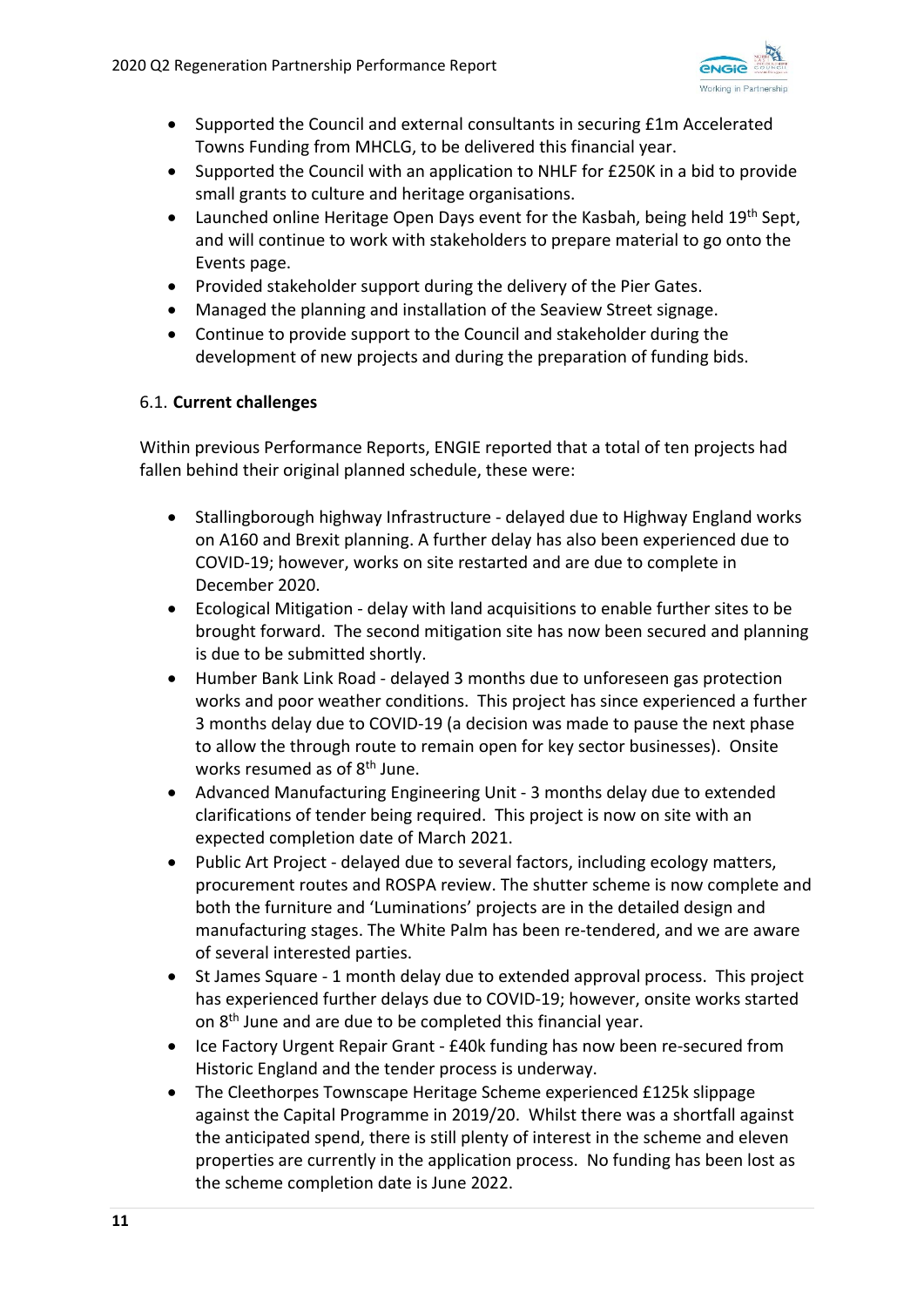

- Supported the Council and external consultants in securing £1m Accelerated Towns Funding from MHCLG, to be delivered this financial year.
- Supported the Council with an application to NHLF for £250K in a bid to provide small grants to culture and heritage organisations.
- Launched online Heritage Open Days event for the Kasbah, being held 19<sup>th</sup> Sept, and will continue to work with stakeholders to prepare material to go onto the Events page.
- Provided stakeholder support during the delivery of the Pier Gates.
- Managed the planning and installation of the Seaview Street signage.
- Continue to provide support to the Council and stakeholder during the development of new projects and during the preparation of funding bids.

### 6.1. **Current challenges**

Within previous Performance Reports, ENGIE reported that a total of ten projects had fallen behind their original planned schedule, these were:

- Stallingborough highway Infrastructure ‐ delayed due to Highway England works on A160 and Brexit planning. A further delay has also been experienced due to COVID‐19; however, works on site restarted and are due to complete in December 2020.
- Ecological Mitigation ‐ delay with land acquisitions to enable further sites to be brought forward. The second mitigation site has now been secured and planning is due to be submitted shortly.
- Humber Bank Link Road ‐ delayed 3 months due to unforeseen gas protection works and poor weather conditions. This project has since experienced a further 3 months delay due to COVID‐19 (a decision was made to pause the next phase to allow the through route to remain open for key sector businesses). Onsite works resumed as of 8<sup>th</sup> June.
- Advanced Manufacturing Engineering Unit ‐ 3 months delay due to extended clarifications of tender being required. This project is now on site with an expected completion date of March 2021.
- Public Art Project ‐ delayed due to several factors, including ecology matters, procurement routes and ROSPA review. The shutter scheme is now complete and both the furniture and 'Luminations' projects are in the detailed design and manufacturing stages. The White Palm has been re‐tendered, and we are aware of several interested parties.
- St James Square ‐ 1 month delay due to extended approval process. This project has experienced further delays due to COVID‐19; however, onsite works started on 8<sup>th</sup> June and are due to be completed this financial year.
- Ice Factory Urgent Repair Grant £40k funding has now been re-secured from Historic England and the tender process is underway.
- The Cleethorpes Townscape Heritage Scheme experienced £125k slippage against the Capital Programme in 2019/20. Whilst there was a shortfall against the anticipated spend, there is still plenty of interest in the scheme and eleven properties are currently in the application process. No funding has been lost as the scheme completion date is June 2022.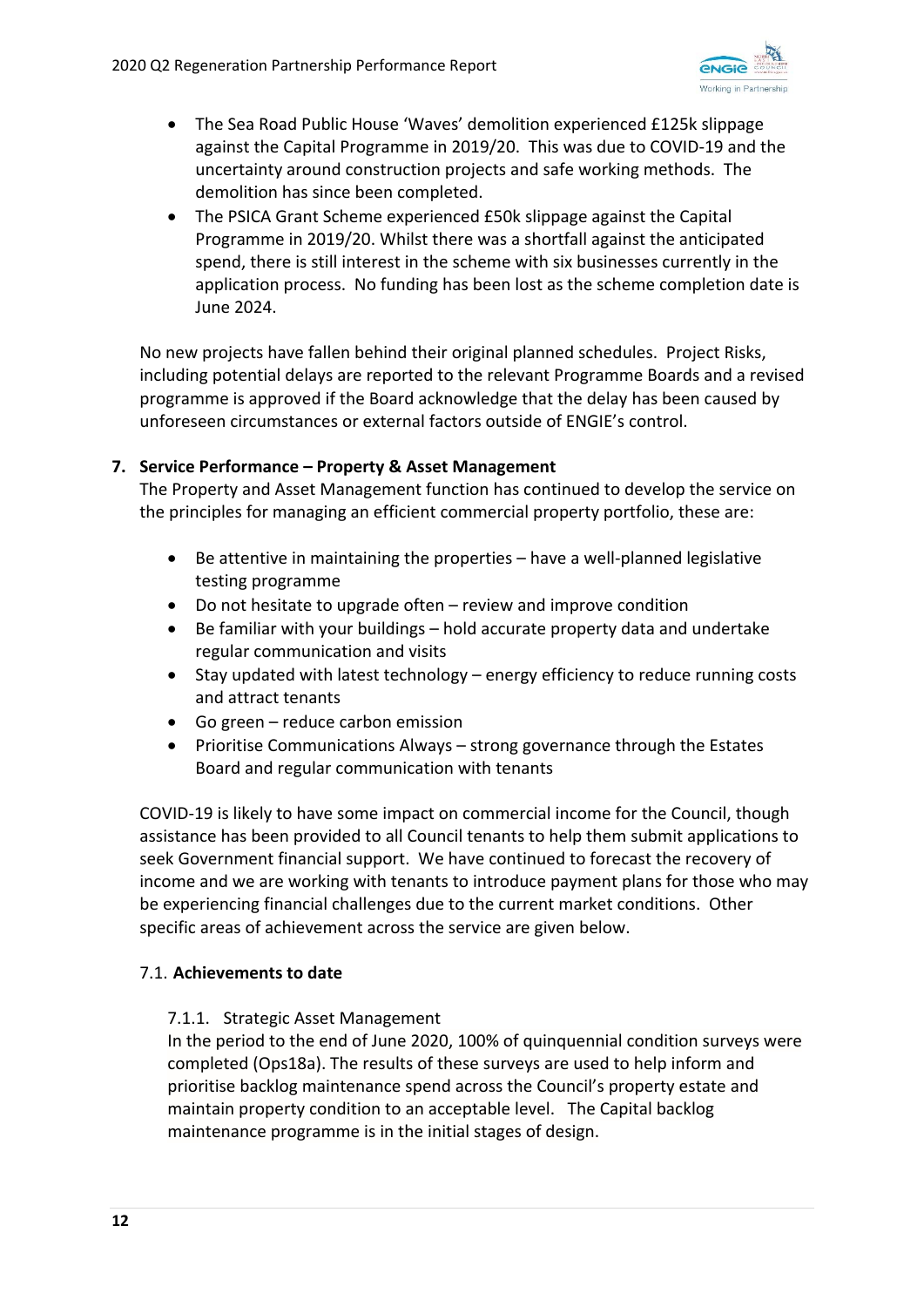

- The Sea Road Public House 'Waves' demolition experienced £125k slippage against the Capital Programme in 2019/20. This was due to COVID‐19 and the uncertainty around construction projects and safe working methods. The demolition has since been completed.
- The PSICA Grant Scheme experienced £50k slippage against the Capital Programme in 2019/20. Whilst there was a shortfall against the anticipated spend, there is still interest in the scheme with six businesses currently in the application process. No funding has been lost as the scheme completion date is June 2024.

No new projects have fallen behind their original planned schedules. Project Risks, including potential delays are reported to the relevant Programme Boards and a revised programme is approved if the Board acknowledge that the delay has been caused by unforeseen circumstances or external factors outside of ENGIE's control.

## **7. Service Performance – Property & Asset Management**

The Property and Asset Management function has continued to develop the service on the principles for managing an efficient commercial property portfolio, these are:

- Be attentive in maintaining the properties have a well-planned legislative testing programme
- Do not hesitate to upgrade often review and improve condition
- Be familiar with your buildings hold accurate property data and undertake regular communication and visits
- Stay updated with latest technology energy efficiency to reduce running costs and attract tenants
- Go green reduce carbon emission
- Prioritise Communications Always strong governance through the Estates Board and regular communication with tenants

COVID‐19 is likely to have some impact on commercial income for the Council, though assistance has been provided to all Council tenants to help them submit applications to seek Government financial support. We have continued to forecast the recovery of income and we are working with tenants to introduce payment plans for those who may be experiencing financial challenges due to the current market conditions. Other specific areas of achievement across the service are given below.

## 7.1. **Achievements to date**

## 7.1.1. Strategic Asset Management

In the period to the end of June 2020, 100% of quinquennial condition surveys were completed (Ops18a). The results of these surveys are used to help inform and prioritise backlog maintenance spend across the Council's property estate and maintain property condition to an acceptable level. The Capital backlog maintenance programme is in the initial stages of design.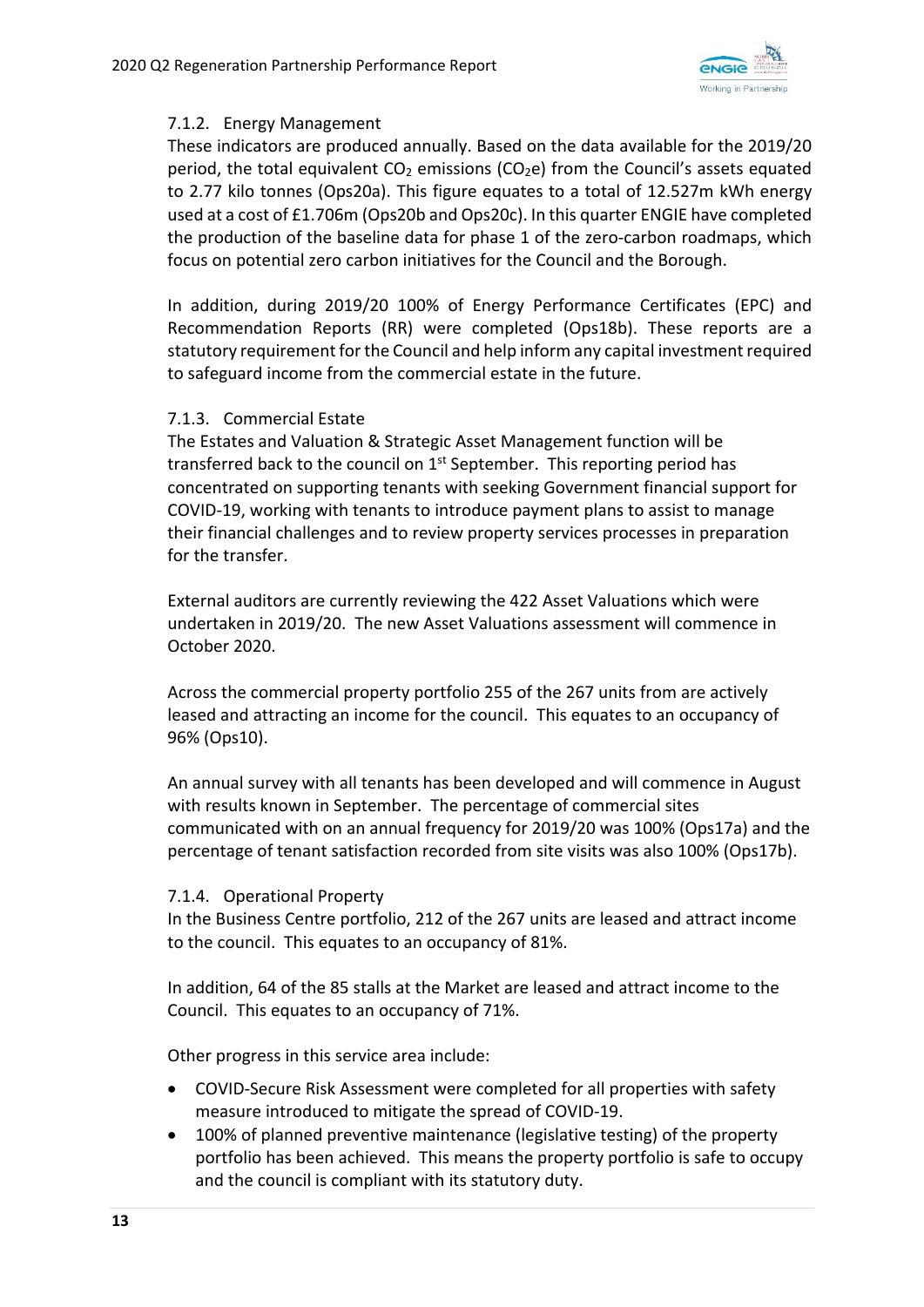

## 7.1.2. Energy Management

These indicators are produced annually. Based on the data available for the 2019/20 period, the total equivalent  $CO<sub>2</sub>$  emissions ( $CO<sub>2</sub>e$ ) from the Council's assets equated to 2.77 kilo tonnes (Ops20a). This figure equates to a total of 12.527m kWh energy used at a cost of £1.706m (Ops20b and Ops20c). In this quarter ENGIE have completed the production of the baseline data for phase 1 of the zero-carbon roadmaps, which focus on potential zero carbon initiatives for the Council and the Borough.

In addition, during 2019/20 100% of Energy Performance Certificates (EPC) and Recommendation Reports (RR) were completed (Ops18b). These reports are a statutory requirement for the Council and help inform any capital investment required to safeguard income from the commercial estate in the future.

#### 7.1.3. Commercial Estate

The Estates and Valuation & Strategic Asset Management function will be transferred back to the council on  $1<sup>st</sup>$  September. This reporting period has concentrated on supporting tenants with seeking Government financial support for COVID‐19, working with tenants to introduce payment plans to assist to manage their financial challenges and to review property services processes in preparation for the transfer.

External auditors are currently reviewing the 422 Asset Valuations which were undertaken in 2019/20. The new Asset Valuations assessment will commence in October 2020.

Across the commercial property portfolio 255 of the 267 units from are actively leased and attracting an income for the council. This equates to an occupancy of 96% (Ops10).

An annual survey with all tenants has been developed and will commence in August with results known in September. The percentage of commercial sites communicated with on an annual frequency for 2019/20 was 100% (Ops17a) and the percentage of tenant satisfaction recorded from site visits was also 100% (Ops17b).

#### 7.1.4. Operational Property

In the Business Centre portfolio, 212 of the 267 units are leased and attract income to the council. This equates to an occupancy of 81%.

In addition, 64 of the 85 stalls at the Market are leased and attract income to the Council. This equates to an occupancy of 71%.

Other progress in this service area include:

- COVID-Secure Risk Assessment were completed for all properties with safety measure introduced to mitigate the spread of COVID‐19.
- 100% of planned preventive maintenance (legislative testing) of the property portfolio has been achieved. This means the property portfolio is safe to occupy and the council is compliant with its statutory duty.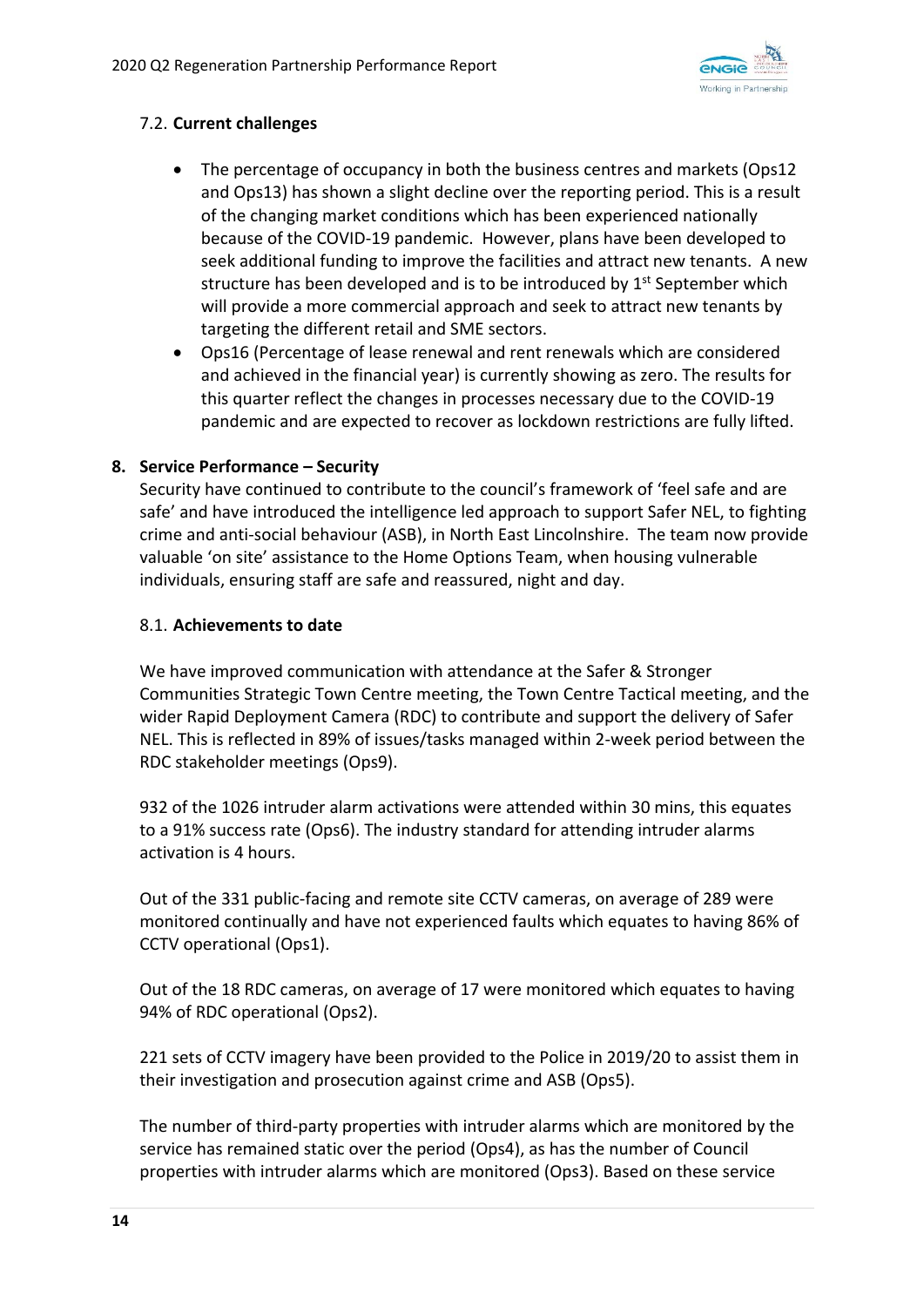

## 7.2. **Current challenges**

- The percentage of occupancy in both the business centres and markets (Ops12 and Ops13) has shown a slight decline over the reporting period. This is a result of the changing market conditions which has been experienced nationally because of the COVID‐19 pandemic. However, plans have been developed to seek additional funding to improve the facilities and attract new tenants. A new structure has been developed and is to be introduced by  $1<sup>st</sup>$  September which will provide a more commercial approach and seek to attract new tenants by targeting the different retail and SME sectors.
- Ops16 (Percentage of lease renewal and rent renewals which are considered and achieved in the financial year) is currently showing as zero. The results for this quarter reflect the changes in processes necessary due to the COVID‐19 pandemic and are expected to recover as lockdown restrictions are fully lifted.

## **8. Service Performance – Security**

Security have continued to contribute to the council's framework of 'feel safe and are safe' and have introduced the intelligence led approach to support Safer NEL, to fighting crime and anti‐social behaviour (ASB), in North East Lincolnshire. The team now provide valuable 'on site' assistance to the Home Options Team, when housing vulnerable individuals, ensuring staff are safe and reassured, night and day.

### 8.1. **Achievements to date**

We have improved communication with attendance at the Safer & Stronger Communities Strategic Town Centre meeting, the Town Centre Tactical meeting, and the wider Rapid Deployment Camera (RDC) to contribute and support the delivery of Safer NEL. This is reflected in 89% of issues/tasks managed within 2‐week period between the RDC stakeholder meetings (Ops9).

932 of the 1026 intruder alarm activations were attended within 30 mins, this equates to a 91% success rate (Ops6). The industry standard for attending intruder alarms activation is 4 hours.

Out of the 331 public-facing and remote site CCTV cameras, on average of 289 were monitored continually and have not experienced faults which equates to having 86% of CCTV operational (Ops1).

Out of the 18 RDC cameras, on average of 17 were monitored which equates to having 94% of RDC operational (Ops2).

221 sets of CCTV imagery have been provided to the Police in 2019/20 to assist them in their investigation and prosecution against crime and ASB (Ops5).

The number of third‐party properties with intruder alarms which are monitored by the service has remained static over the period (Ops4), as has the number of Council properties with intruder alarms which are monitored (Ops3). Based on these service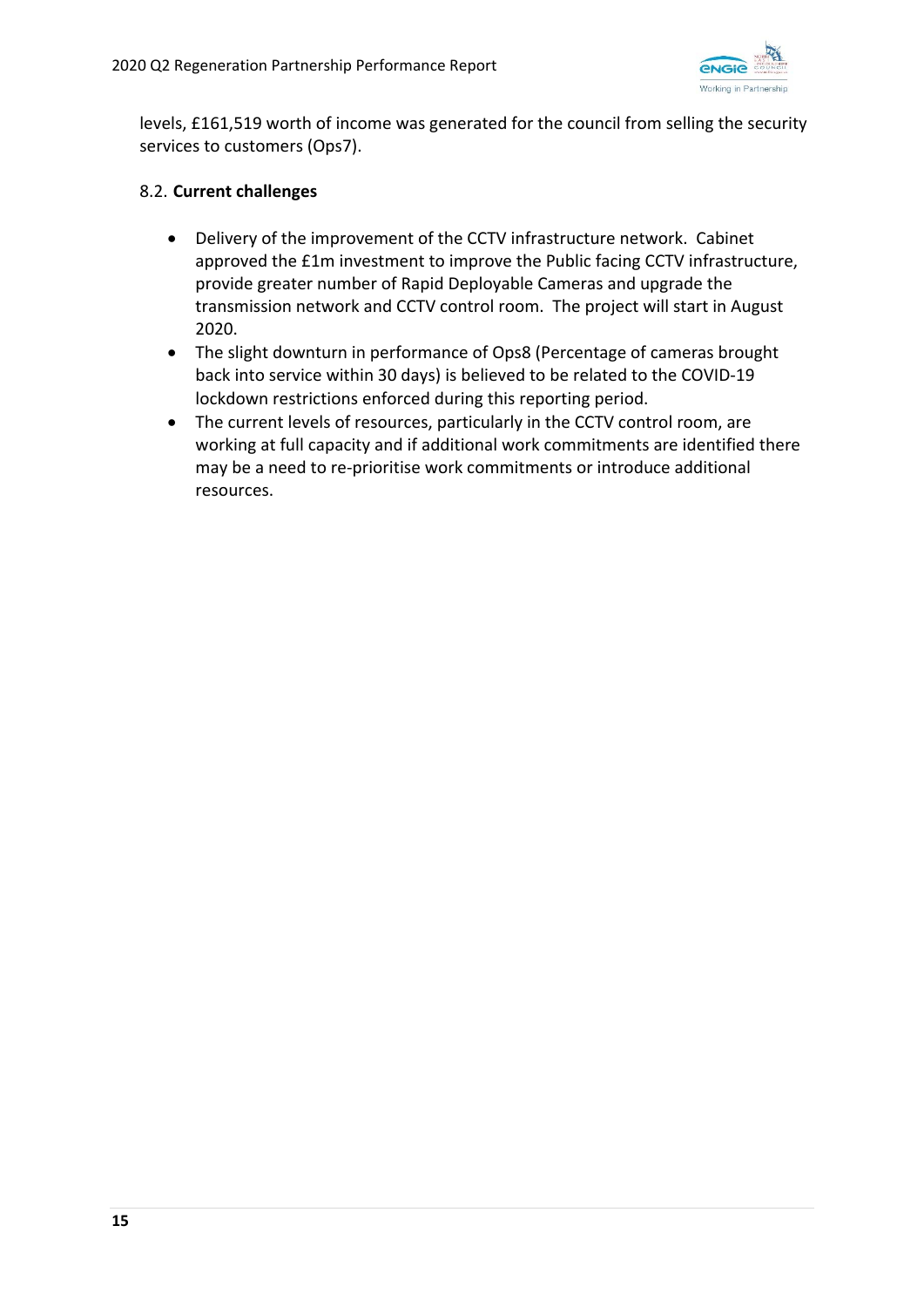

levels, £161,519 worth of income was generated for the council from selling the security services to customers (Ops7).

## 8.2. **Current challenges**

- Delivery of the improvement of the CCTV infrastructure network. Cabinet approved the £1m investment to improve the Public facing CCTV infrastructure, provide greater number of Rapid Deployable Cameras and upgrade the transmission network and CCTV control room. The project will start in August 2020.
- The slight downturn in performance of Ops8 (Percentage of cameras brought back into service within 30 days) is believed to be related to the COVID‐19 lockdown restrictions enforced during this reporting period.
- The current levels of resources, particularly in the CCTV control room, are working at full capacity and if additional work commitments are identified there may be a need to re-prioritise work commitments or introduce additional resources.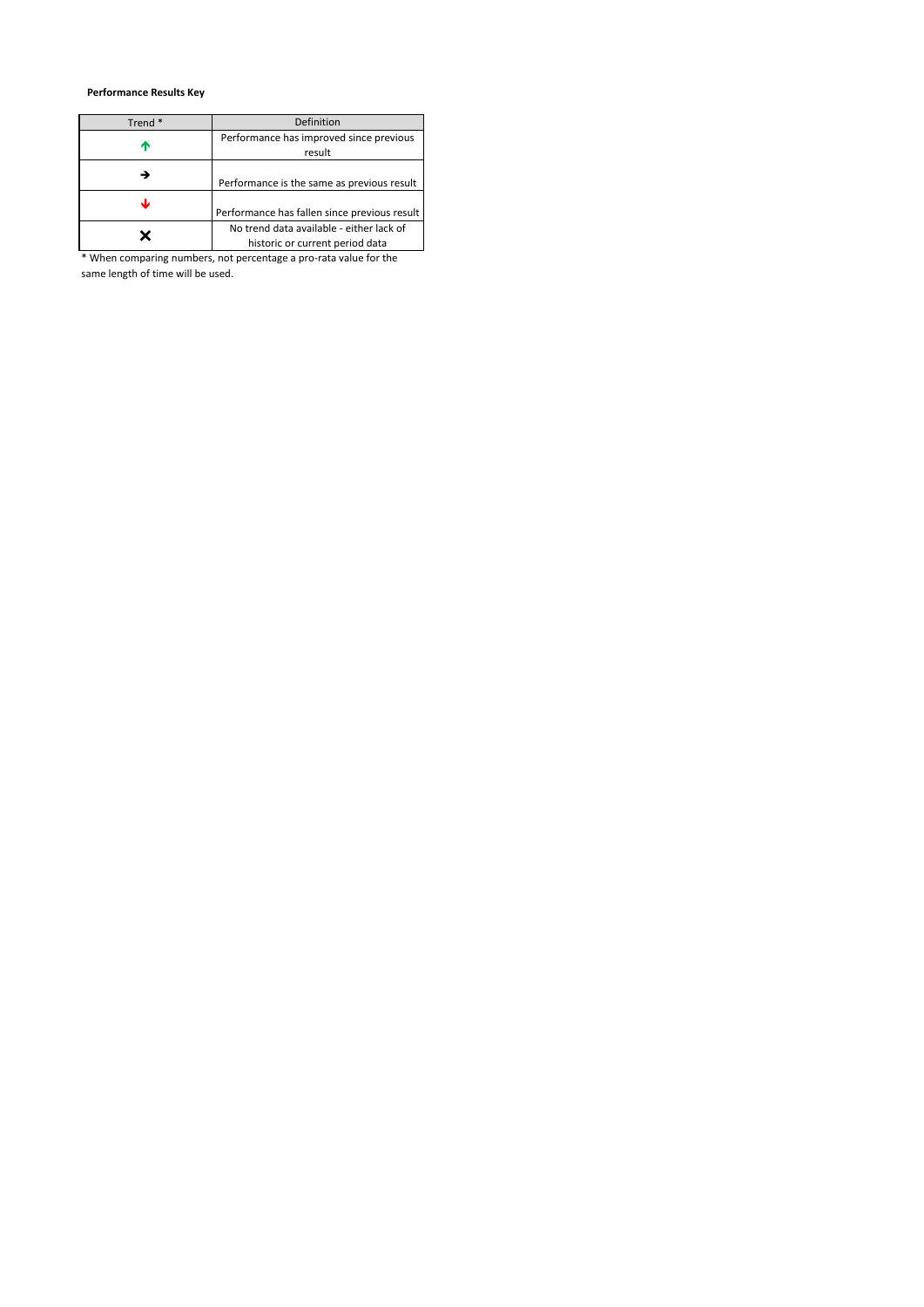#### **Performance Results Key**

| Trend <sup>*</sup> | Definition                                   |
|--------------------|----------------------------------------------|
|                    | Performance has improved since previous      |
| Т                  | result                                       |
|                    |                                              |
|                    | Performance is the same as previous result   |
| J                  |                                              |
|                    | Performance has fallen since previous result |
|                    | No trend data available - either lack of     |
|                    | historic or current period data              |

\* When comparing numbers, not percentage a pro-rata value for the same length of time will be used.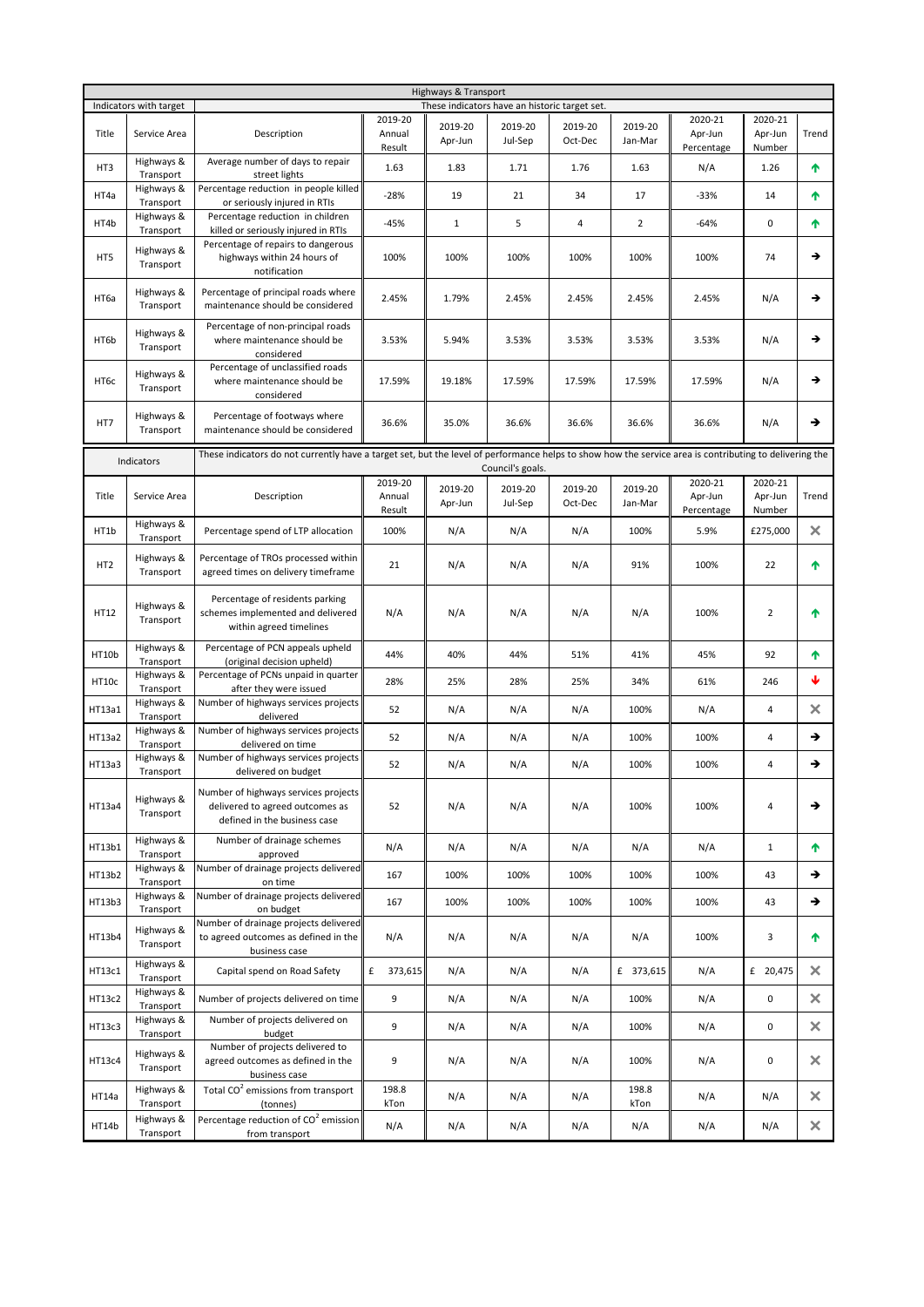| Highways & Transport |                         |                                                                                                                                                        |                             |                    |                                               |                    |                    |                                  |                              |          |
|----------------------|-------------------------|--------------------------------------------------------------------------------------------------------------------------------------------------------|-----------------------------|--------------------|-----------------------------------------------|--------------------|--------------------|----------------------------------|------------------------------|----------|
|                      | Indicators with target  |                                                                                                                                                        |                             |                    | These indicators have an historic target set. |                    |                    |                                  |                              |          |
| Title                | Service Area            | Description                                                                                                                                            | 2019-20<br>Annual           | 2019-20<br>Apr-Jun | 2019-20<br>Jul-Sep                            | 2019-20<br>Oct-Dec | 2019-20<br>Jan-Mar | 2020-21<br>Apr-Jun               | 2020-21<br>Apr-Jun           | Trend    |
| HT3                  | Highways &<br>Transport | Average number of days to repair<br>street lights                                                                                                      | Result<br>1.63              | 1.83               | 1.71                                          | 1.76               | 1.63               | Percentage<br>N/A                | Number<br>1.26               | 个        |
| HT4a                 | Highways &<br>Transport | Percentage reduction in people killed<br>or seriously injured in RTIs                                                                                  | $-28%$                      | 19                 | 21                                            | 34                 | 17                 | $-33%$                           | 14                           | 个        |
| HT4b                 | Highways &<br>Transport | Percentage reduction in children<br>killed or seriously injured in RTIs                                                                                | $-45%$                      | $\mathbf{1}$       | 5                                             | 4                  | $\overline{2}$     | $-64%$                           | 0                            | 个        |
| HT5                  | Highways &<br>Transport | Percentage of repairs to dangerous<br>highways within 24 hours of<br>notification                                                                      | 100%                        | 100%               | 100%                                          | 100%               | 100%               | 100%                             | 74                           | →        |
| HT6a                 | Highways &<br>Transport | Percentage of principal roads where<br>maintenance should be considered                                                                                | 2.45%                       | 1.79%              | 2.45%                                         | 2.45%              | 2.45%              | 2.45%                            | N/A                          | →        |
| HT6b                 | Highways &<br>Transport | Percentage of non-principal roads<br>where maintenance should be<br>considered                                                                         | 3.53%                       | 5.94%              | 3.53%                                         | 3.53%              | 3.53%              | 3.53%                            | N/A                          | →        |
| HT6c                 | Highways &<br>Transport | Percentage of unclassified roads<br>where maintenance should be<br>considered                                                                          | 17.59%                      | 19.18%             | 17.59%                                        | 17.59%             | 17.59%             | 17.59%                           | N/A                          | →        |
| HT7                  | Highways &<br>Transport | Percentage of footways where<br>maintenance should be considered                                                                                       | 36.6%                       | 35.0%              | 36.6%                                         | 36.6%              | 36.6%              | 36.6%                            | N/A                          | →        |
|                      | Indicators              | These indicators do not currently have a target set, but the level of performance helps to show how the service area is contributing to delivering the |                             |                    | Council's goals.                              |                    |                    |                                  |                              |          |
| Title                | Service Area            | Description                                                                                                                                            | 2019-20<br>Annual<br>Result | 2019-20<br>Apr-Jun | 2019-20<br>Jul-Sep                            | 2019-20<br>Oct-Dec | 2019-20<br>Jan-Mar | 2020-21<br>Apr-Jun<br>Percentage | 2020-21<br>Apr-Jun<br>Number | Trend    |
| HT1b                 | Highways &<br>Transport | Percentage spend of LTP allocation                                                                                                                     | 100%                        | N/A                | N/A                                           | N/A                | 100%               | 5.9%                             | £275,000                     | ×        |
| HT <sub>2</sub>      | Highways &<br>Transport | Percentage of TROs processed within<br>agreed times on delivery timeframe                                                                              | 21                          | N/A                | N/A                                           | N/A                | 91%                | 100%                             | 22                           | ↑        |
| HT12                 | Highways &<br>Transport | Percentage of residents parking<br>schemes implemented and delivered<br>within agreed timelines                                                        | N/A                         | N/A                | N/A                                           | N/A                | N/A                | 100%                             | $\overline{2}$               | ᠰ        |
| HT10b                | Highways &<br>Transport | Percentage of PCN appeals upheld<br>(original decision upheld)                                                                                         | 44%                         | 40%                | 44%                                           | 51%                | 41%                | 45%                              | 92                           | 个        |
| HT10c                | Highways &<br>Transport | Percentage of PCNs unpaid in quarter<br>after they were issued                                                                                         | 28%                         | 25%                | 28%                                           | 25%                | 34%                | 61%                              | 246                          | ₩        |
| HT13a1               | Highways &<br>Transport | Number of highways services projects<br>delivered                                                                                                      | 52                          | N/A                | N/A                                           | N/A                | 100%               | N/A                              | 4                            | ×        |
| HT13a2               | Highways &<br>Transport | Number of highways services projects<br>delivered on time                                                                                              | 52                          | N/A                | N/A                                           | N/A                | 100%               | 100%                             | 4                            | →        |
| HT13a3               | Highways &<br>Transport | Number of highways services projects<br>delivered on budget                                                                                            | 52                          | N/A                | N/A                                           | N/A                | 100%               | 100%                             | 4                            | →        |
| HT13a4               | Highways &<br>Transport | Number of highways services projects<br>delivered to agreed outcomes as<br>defined in the business case                                                | 52                          | N/A                | N/A                                           | N/A                | 100%               | 100%                             | 4                            | →        |
| HT13b1               | Highways &<br>Transport | Number of drainage schemes<br>approved                                                                                                                 | N/A                         | N/A                | N/A                                           | N/A                | N/A                | N/A                              | $\mathbf{1}$                 | 个        |
| HT13b2               | Highways &<br>Transport | Number of drainage projects delivered<br>on time                                                                                                       | 167                         | 100%               | 100%                                          | 100%               | 100%               | 100%                             | 43                           | →        |
| HT13b3               | Highways &<br>Transport | Number of drainage projects delivered<br>on budget                                                                                                     | 167                         | 100%               | 100%                                          | 100%               | 100%               | 100%                             | 43                           | →        |
| HT13b4               | Highways &<br>Transport | Number of drainage projects delivered<br>to agreed outcomes as defined in the<br>business case                                                         | N/A                         | N/A                | N/A                                           | N/A                | N/A                | 100%                             | 3                            | ↑        |
| HT13c1               | Highways &<br>Transport | Capital spend on Road Safety                                                                                                                           | £<br>373,615                | N/A                | N/A                                           | N/A                | £ 373,615          | N/A                              | £ 20,475                     | ×        |
| HT13c2               | Highways &<br>Transport | Number of projects delivered on time                                                                                                                   | 9                           | N/A                | N/A                                           | N/A                | 100%               | N/A                              | 0                            | ×        |
| HT13c3               | Highways &<br>Transport | Number of projects delivered on<br>budget                                                                                                              | 9                           | N/A                | N/A                                           | N/A                | 100%               | N/A                              | 0                            | ×        |
| HT13c4               | Highways &<br>Transport | Number of projects delivered to<br>agreed outcomes as defined in the<br>business case                                                                  | 9                           | N/A                | N/A                                           | N/A                | 100%               | N/A                              | 0                            | ×        |
| HT14a                | Highways &<br>Transport | Total CO <sup>2</sup> emissions from transport<br>(tonnes)                                                                                             | 198.8<br>kTon               | N/A                | N/A                                           | N/A                | 198.8<br>kTon      | N/A                              | N/A                          | $\times$ |
| HT14b                | Highways &<br>Transport | Percentage reduction of CO <sup>2</sup> emission<br>from transport                                                                                     | N/A                         | N/A                | N/A                                           | N/A                | N/A                | N/A                              | N/A                          | ×.       |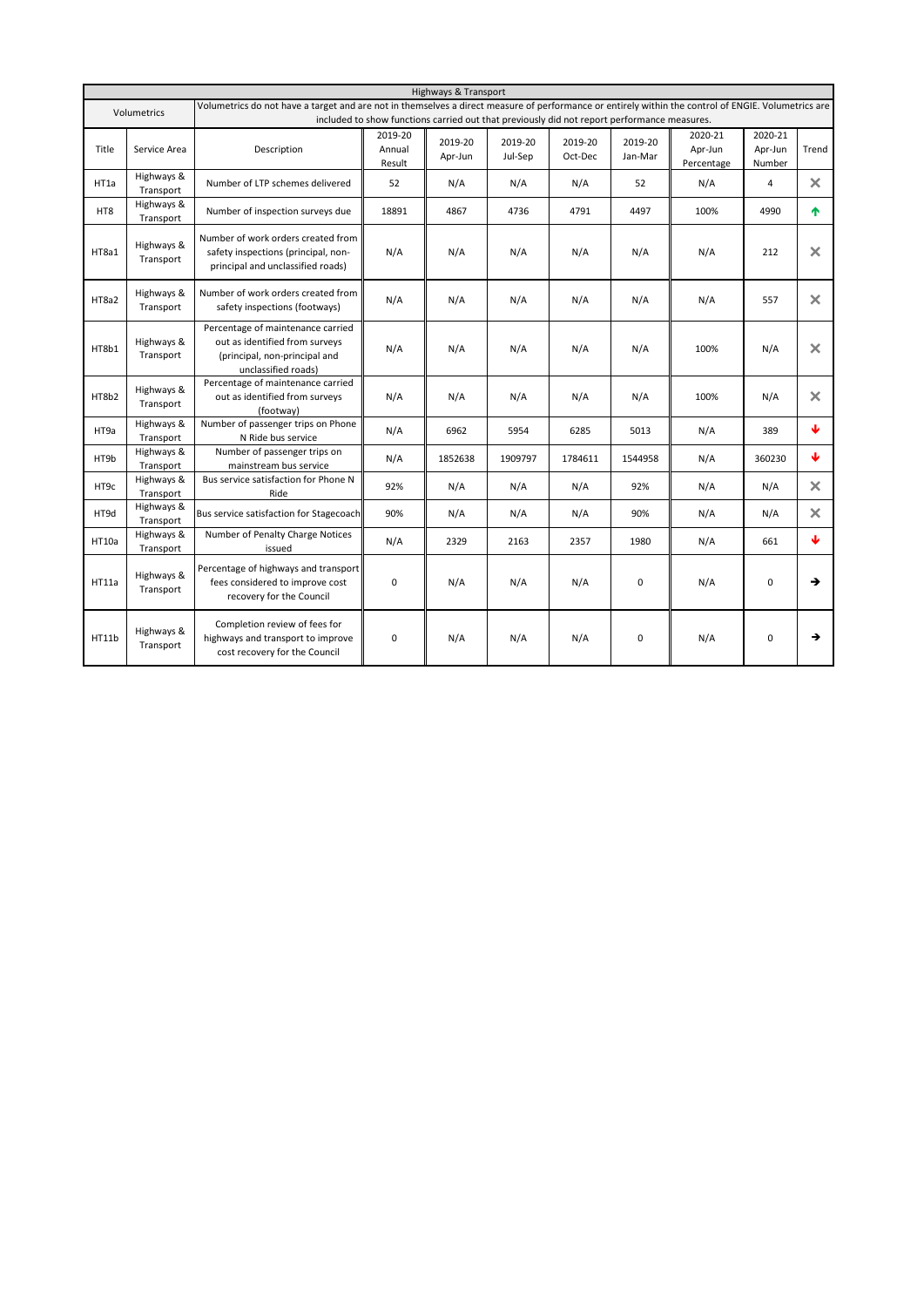|       | Highways & Transport    |                                                                                                                                                     |                             |                                                                                             |                    |                    |                    |                                  |                              |                       |  |  |
|-------|-------------------------|-----------------------------------------------------------------------------------------------------------------------------------------------------|-----------------------------|---------------------------------------------------------------------------------------------|--------------------|--------------------|--------------------|----------------------------------|------------------------------|-----------------------|--|--|
|       | Volumetrics             | Volumetrics do not have a target and are not in themselves a direct measure of performance or entirely within the control of ENGIE. Volumetrics are |                             | included to show functions carried out that previously did not report performance measures. |                    |                    |                    |                                  |                              |                       |  |  |
| Title | Service Area            | Description                                                                                                                                         | 2019-20<br>Annual<br>Result | 2019-20<br>Apr-Jun                                                                          | 2019-20<br>Jul-Sep | 2019-20<br>Oct-Dec | 2019-20<br>Jan-Mar | 2020-21<br>Apr-Jun<br>Percentage | 2020-21<br>Apr-Jun<br>Number | Trend                 |  |  |
| HT1a  | Highways &<br>Transport | Number of LTP schemes delivered                                                                                                                     | 52                          | N/A                                                                                         | N/A                | N/A                | 52                 | N/A                              | 4                            | $\times$              |  |  |
| HT8   | Highways &<br>Transport | Number of inspection surveys due                                                                                                                    | 18891                       | 4867                                                                                        | 4736               | 4791               | 4497               | 100%                             | 4990                         | 不                     |  |  |
| HT8a1 | Highways &<br>Transport | Number of work orders created from<br>safety inspections (principal, non-<br>principal and unclassified roads)                                      | N/A                         | N/A                                                                                         | N/A                | N/A                | N/A                | N/A                              | 212                          | $\mathsf{\times}$     |  |  |
| HT8a2 | Highways &<br>Transport | Number of work orders created from<br>safety inspections (footways)                                                                                 | N/A                         | N/A                                                                                         | N/A                | N/A                | N/A                | N/A                              | 557                          | $\boldsymbol{\times}$ |  |  |
| HT8b1 | Highways &<br>Transport | Percentage of maintenance carried<br>out as identified from surveys<br>(principal, non-principal and<br>unclassified roads)                         | N/A                         | N/A                                                                                         | N/A                | N/A                | N/A                | 100%                             | N/A                          | $\times$              |  |  |
| HT8b2 | Highways &<br>Transport | Percentage of maintenance carried<br>out as identified from surveys<br>(footway)                                                                    | N/A                         | N/A                                                                                         | N/A                | N/A                | N/A                | 100%                             | N/A                          | $\boldsymbol{\times}$ |  |  |
| HT9a  | Highways &<br>Transport | Number of passenger trips on Phone<br>N Ride bus service                                                                                            | N/A                         | 6962                                                                                        | 5954               | 6285               | 5013               | N/A                              | 389                          | Φ                     |  |  |
| HT9b  | Highways &<br>Transport | Number of passenger trips on<br>mainstream bus service                                                                                              | N/A                         | 1852638                                                                                     | 1909797            | 1784611            | 1544958            | N/A                              | 360230                       | ₩                     |  |  |
| HT9c  | Highways &<br>Transport | Bus service satisfaction for Phone N<br>Ride                                                                                                        | 92%                         | N/A                                                                                         | N/A                | N/A                | 92%                | N/A                              | N/A                          | $\times$              |  |  |
| HT9d  | Highways &<br>Transport | Bus service satisfaction for Stagecoach                                                                                                             | 90%                         | N/A                                                                                         | N/A                | N/A                | 90%                | N/A                              | N/A                          | $\times$              |  |  |
| HT10a | Highways &<br>Transport | Number of Penalty Charge Notices<br>issued                                                                                                          | N/A                         | 2329                                                                                        | 2163               | 2357               | 1980               | N/A                              | 661                          | Φ                     |  |  |
| HT11a | Highways &<br>Transport | Percentage of highways and transport<br>fees considered to improve cost<br>recovery for the Council                                                 | 0                           | N/A                                                                                         | N/A                | N/A                | 0                  | N/A                              | 0                            | →                     |  |  |
| HT11b | Highways &<br>Transport | Completion review of fees for<br>highways and transport to improve<br>cost recovery for the Council                                                 | $\mathbf 0$                 | N/A                                                                                         | N/A                | N/A                | 0                  | N/A                              | 0                            | →                     |  |  |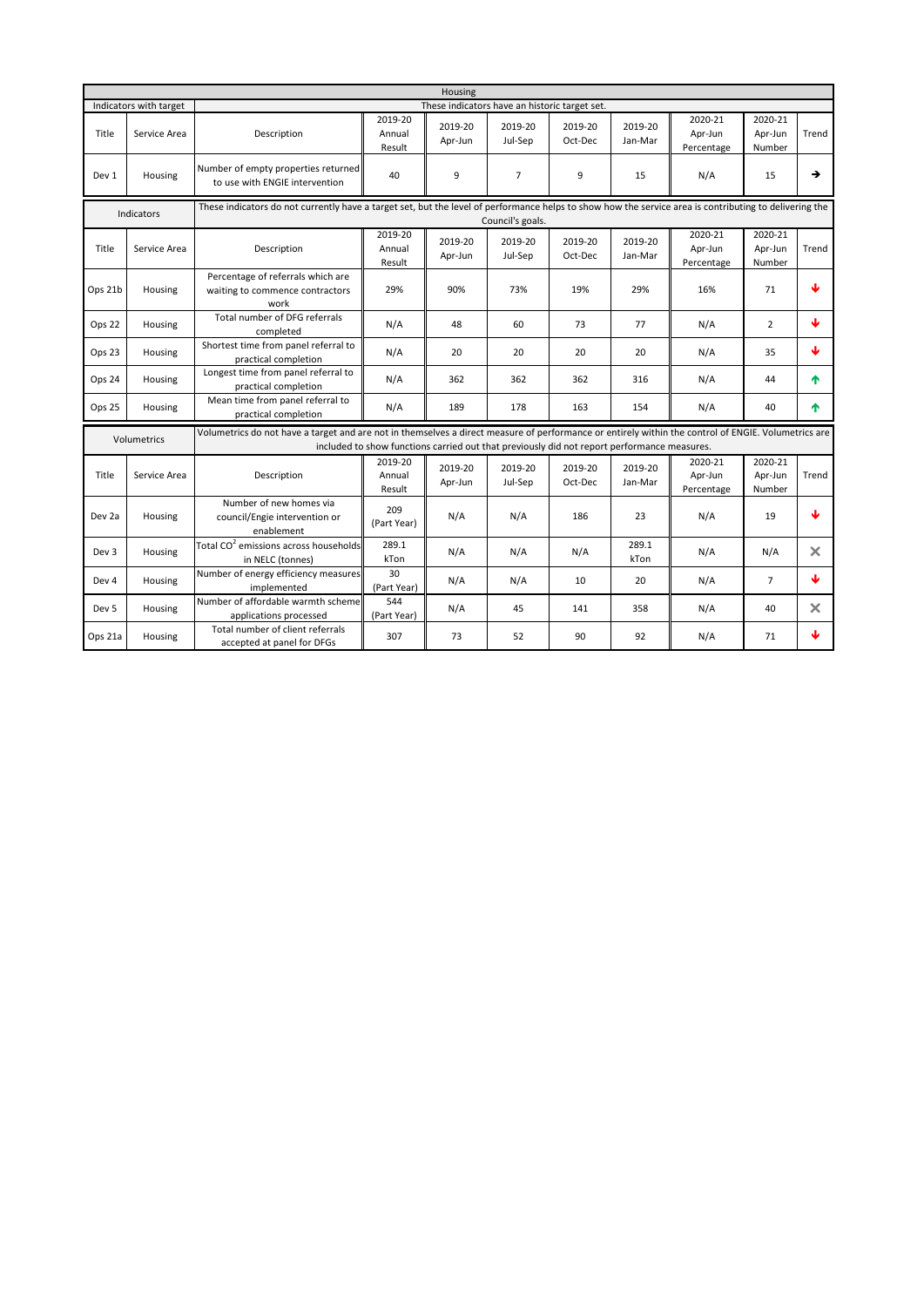|                   |                        |                                                                                                                                                                            |                             | Housing                                                                                     |                    |                    |                    |                                  |                              |          |  |  |
|-------------------|------------------------|----------------------------------------------------------------------------------------------------------------------------------------------------------------------------|-----------------------------|---------------------------------------------------------------------------------------------|--------------------|--------------------|--------------------|----------------------------------|------------------------------|----------|--|--|
|                   | Indicators with target |                                                                                                                                                                            |                             | These indicators have an historic target set.                                               |                    |                    |                    |                                  |                              |          |  |  |
| Title             | Service Area           | Description                                                                                                                                                                | 2019-20<br>Annual<br>Result | 2019-20<br>Apr-Jun                                                                          | 2019-20<br>Jul-Sep | 2019-20<br>Oct-Dec | 2019-20<br>Jan-Mar | 2020-21<br>Apr-Jun<br>Percentage | 2020-21<br>Apr-Jun<br>Number | Trend    |  |  |
| Dev 1             | Housing                | Number of empty properties returned<br>to use with ENGIE intervention                                                                                                      | 40                          | 9                                                                                           | $\overline{7}$     | 9                  | 15                 | N/A                              | 15                           | →        |  |  |
|                   | Indicators             | These indicators do not currently have a target set, but the level of performance helps to show how the service area is contributing to delivering the<br>Council's goals. |                             |                                                                                             |                    |                    |                    |                                  |                              |          |  |  |
| Title             | Service Area           | Description                                                                                                                                                                | 2019-20<br>Annual<br>Result | 2019-20<br>Apr-Jun                                                                          | 2019-20<br>Jul-Sep | 2019-20<br>Oct-Dec | 2019-20<br>Jan-Mar | 2020-21<br>Apr-Jun<br>Percentage | 2020-21<br>Apr-Jun<br>Number | Trend    |  |  |
| Ops 21b           | Housing                | Percentage of referrals which are<br>waiting to commence contractors<br>work                                                                                               | 29%                         | 90%                                                                                         | 73%                | 19%                | 29%                | 16%                              | 71                           | ↓        |  |  |
| Ops 22            | Housing                | Total number of DFG referrals<br>completed                                                                                                                                 | N/A                         | 48                                                                                          | 60                 | 73                 | 77                 | N/A                              | $\overline{2}$               | J.       |  |  |
| Ops 23            | Housing                | Shortest time from panel referral to<br>practical completion                                                                                                               | N/A                         | 20                                                                                          | 20                 | 20                 | 20                 | N/A                              | 35                           | ↓        |  |  |
| Ops 24            | Housing                | Longest time from panel referral to<br>practical completion                                                                                                                | N/A                         | 362                                                                                         | 362                | 362                | 316                | N/A                              | 44                           | 个        |  |  |
| Ops 25            | Housing                | Mean time from panel referral to<br>practical completion                                                                                                                   | N/A                         | 189                                                                                         | 178                | 163                | 154                | N/A                              | 40                           | ♠        |  |  |
|                   | Volumetrics            | Volumetrics do not have a target and are not in themselves a direct measure of performance or entirely within the control of ENGIE. Volumetrics are                        |                             | included to show functions carried out that previously did not report performance measures. |                    |                    |                    |                                  |                              |          |  |  |
| Title             | Service Area           | Description                                                                                                                                                                | 2019-20<br>Annual<br>Result | 2019-20<br>Apr-Jun                                                                          | 2019-20<br>Jul-Sep | 2019-20<br>Oct-Dec | 2019-20<br>Jan-Mar | 2020-21<br>Apr-Jun<br>Percentage | 2020-21<br>Apr-Jun<br>Number | Trend    |  |  |
| Dev <sub>2a</sub> | Housing                | Number of new homes via<br>council/Engie intervention or<br>enablement                                                                                                     | 209<br>(Part Year)          | N/A                                                                                         | N/A                | 186                | 23                 | N/A                              | 19                           | J        |  |  |
| Dev 3             | Housing                | Total CO <sup>2</sup> emissions across households<br>in NELC (tonnes)                                                                                                      | 289.1<br>kTon               | N/A                                                                                         | N/A                | N/A                | 289.1<br>kTon      | N/A                              | N/A                          | $\times$ |  |  |
| Dev 4             | Housing                | Number of energy efficiency measures<br>implemented                                                                                                                        | 30<br>(Part Year)           | N/A                                                                                         | N/A                | 10                 | 20                 | N/A                              | $\overline{7}$               | Ψ        |  |  |
| Dev 5             | Housing                | Number of affordable warmth scheme<br>applications processed                                                                                                               | 544<br>(Part Year)          | N/A                                                                                         | 45                 | 141                | 358                | N/A                              | 40                           | $\times$ |  |  |
| Ops 21a           | Housing                | Total number of client referrals<br>accepted at panel for DFGs                                                                                                             | 307                         | 73                                                                                          | 52                 | 90                 | 92                 | N/A                              | 71                           | Φ        |  |  |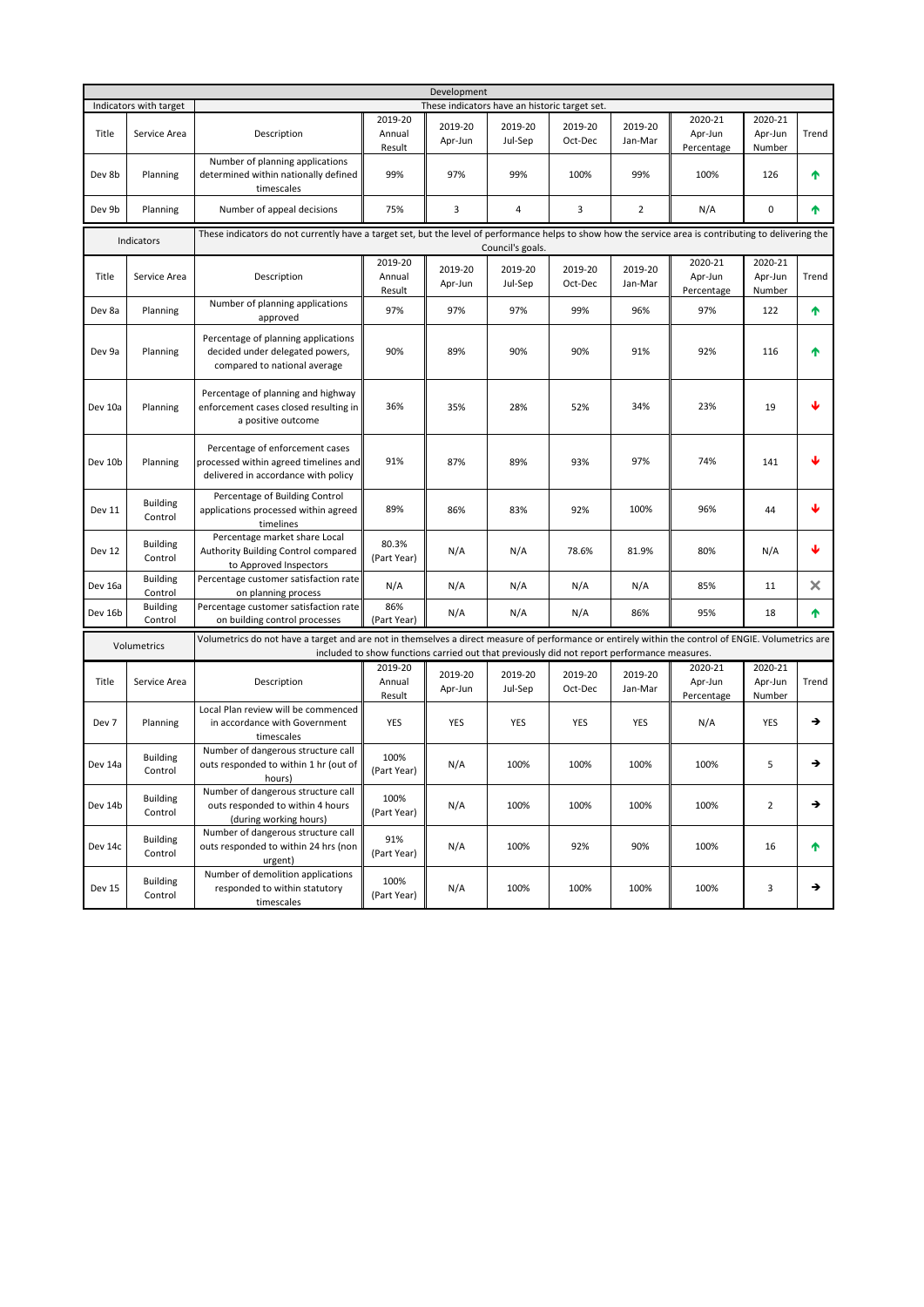|         |                            |                                                                                                                                                     |                                                                                                                                                                            | Development                                   |                    |                    |                    |                                  |                              |       |  |  |  |
|---------|----------------------------|-----------------------------------------------------------------------------------------------------------------------------------------------------|----------------------------------------------------------------------------------------------------------------------------------------------------------------------------|-----------------------------------------------|--------------------|--------------------|--------------------|----------------------------------|------------------------------|-------|--|--|--|
|         | Indicators with target     |                                                                                                                                                     |                                                                                                                                                                            | These indicators have an historic target set. |                    |                    |                    |                                  |                              |       |  |  |  |
| Title   | Service Area               | Description                                                                                                                                         | 2019-20<br>Annual<br>Result                                                                                                                                                | 2019-20<br>Apr-Jun                            | 2019-20<br>Jul-Sep | 2019-20<br>Oct-Dec | 2019-20<br>Jan-Mar | 2020-21<br>Apr-Jun<br>Percentage | 2020-21<br>Apr-Jun<br>Number | Trend |  |  |  |
| Dev 8b  | Planning                   | Number of planning applications<br>determined within nationally defined<br>timescales                                                               | 99%                                                                                                                                                                        | 97%                                           | 99%                | 100%               | 99%                | 100%                             | 126                          | ተ     |  |  |  |
| Dev 9b  | Planning                   | Number of appeal decisions                                                                                                                          | 75%                                                                                                                                                                        | 3                                             | 4                  | 3                  | $\overline{2}$     | N/A                              | 0                            | ተ     |  |  |  |
|         | Indicators                 |                                                                                                                                                     | These indicators do not currently have a target set, but the level of performance helps to show how the service area is contributing to delivering the<br>Council's goals. |                                               |                    |                    |                    |                                  |                              |       |  |  |  |
| Title   | Service Area               | Description                                                                                                                                         | 2019-20<br>Annual<br>Result                                                                                                                                                | 2019-20<br>Apr-Jun                            | 2019-20<br>Jul-Sep | 2019-20<br>Oct-Dec | 2019-20<br>Jan-Mar | 2020-21<br>Apr-Jun<br>Percentage | 2020-21<br>Apr-Jun<br>Number | Trend |  |  |  |
| Dev 8a  | Planning                   | Number of planning applications<br>approved                                                                                                         | 97%                                                                                                                                                                        | 97%                                           | 97%                | 99%                | 96%                | 97%                              | 122                          | ↑     |  |  |  |
| Dev 9a  | Planning                   | Percentage of planning applications<br>decided under delegated powers,<br>compared to national average                                              | 90%                                                                                                                                                                        | 89%                                           | 90%                | 90%                | 91%                | 92%                              | 116                          | ሳ     |  |  |  |
| Dev 10a | Planning                   | Percentage of planning and highway<br>enforcement cases closed resulting in<br>a positive outcome                                                   | 36%                                                                                                                                                                        | 35%                                           | 28%                | 52%                | 34%                | 23%                              | 19                           | J     |  |  |  |
| Dev 10b | Planning                   | Percentage of enforcement cases<br>processed within agreed timelines and<br>delivered in accordance with policy                                     | 91%                                                                                                                                                                        | 87%                                           | 89%                | 93%                | 97%                | 74%                              | 141                          | J     |  |  |  |
| Dev 11  | <b>Building</b><br>Control | Percentage of Building Control<br>applications processed within agreed<br>timelines                                                                 | 89%                                                                                                                                                                        | 86%                                           | 83%                | 92%                | 100%               | 96%                              | 44                           | ↓     |  |  |  |
| Dev 12  | <b>Building</b><br>Control | Percentage market share Local<br>Authority Building Control compared<br>to Approved Inspectors                                                      | 80.3%<br>(Part Year)                                                                                                                                                       | N/A                                           | N/A                | 78.6%              | 81.9%              | 80%                              | N/A                          | ↓     |  |  |  |
| Dev 16a | <b>Building</b><br>Control | Percentage customer satisfaction rate<br>on planning process                                                                                        | N/A                                                                                                                                                                        | N/A                                           | N/A                | N/A                | N/A                | 85%                              | 11                           | ×     |  |  |  |
| Dev 16b | <b>Building</b><br>Control | Percentage customer satisfaction rate<br>on building control processes                                                                              | 86%<br>(Part Year)                                                                                                                                                         | N/A                                           | N/A                | N/A                | 86%                | 95%                              | 18                           | ♠     |  |  |  |
|         | Volumetrics                | Volumetrics do not have a target and are not in themselves a direct measure of performance or entirely within the control of ENGIE. Volumetrics are | included to show functions carried out that previously did not report performance measures.                                                                                |                                               |                    |                    |                    |                                  |                              |       |  |  |  |
| Title   | Service Area               | Description                                                                                                                                         | 2019-20<br>Annual<br>Result                                                                                                                                                | 2019-20<br>Apr-Jun                            | 2019-20<br>Jul-Sep | 2019-20<br>Oct-Dec | 2019-20<br>Jan-Mar | 2020-21<br>Apr-Jun<br>Percentage | 2020-21<br>Apr-Jun<br>Number | Trend |  |  |  |
| Dev 7   | Planning                   | Local Plan review will be commenced<br>in accordance with Government<br>timescales                                                                  | YES                                                                                                                                                                        | YES                                           | YES                | <b>YES</b>         | YES                | N/A                              | YES                          | →     |  |  |  |
| Dev 14a | <b>Building</b><br>Control | Number of dangerous structure call<br>outs responded to within 1 hr (out of<br>hours)                                                               | 100%<br>(Part Year)                                                                                                                                                        | N/A                                           | 100%               | 100%               | 100%               | 100%                             | 5                            | →     |  |  |  |
| Dev 14b | <b>Building</b><br>Control | Number of dangerous structure call<br>outs responded to within 4 hours<br>(during working hours)                                                    | 100%<br>(Part Year)                                                                                                                                                        | N/A                                           | 100%               | 100%               | 100%               | 100%                             | $\overline{2}$               | →     |  |  |  |
| Dev 14c | <b>Building</b><br>Control | Number of dangerous structure call<br>outs responded to within 24 hrs (non<br>urgent)                                                               | 91%<br>(Part Year)                                                                                                                                                         | N/A                                           | 100%               | 92%                | 90%                | 100%                             | 16                           | ↑     |  |  |  |
| Dev 15  | Building<br>Control        | Number of demolition applications<br>responded to within statutory<br>timescales                                                                    | 100%<br>(Part Year)                                                                                                                                                        | N/A                                           | 100%               | 100%               | 100%               | 100%                             | 3                            | →     |  |  |  |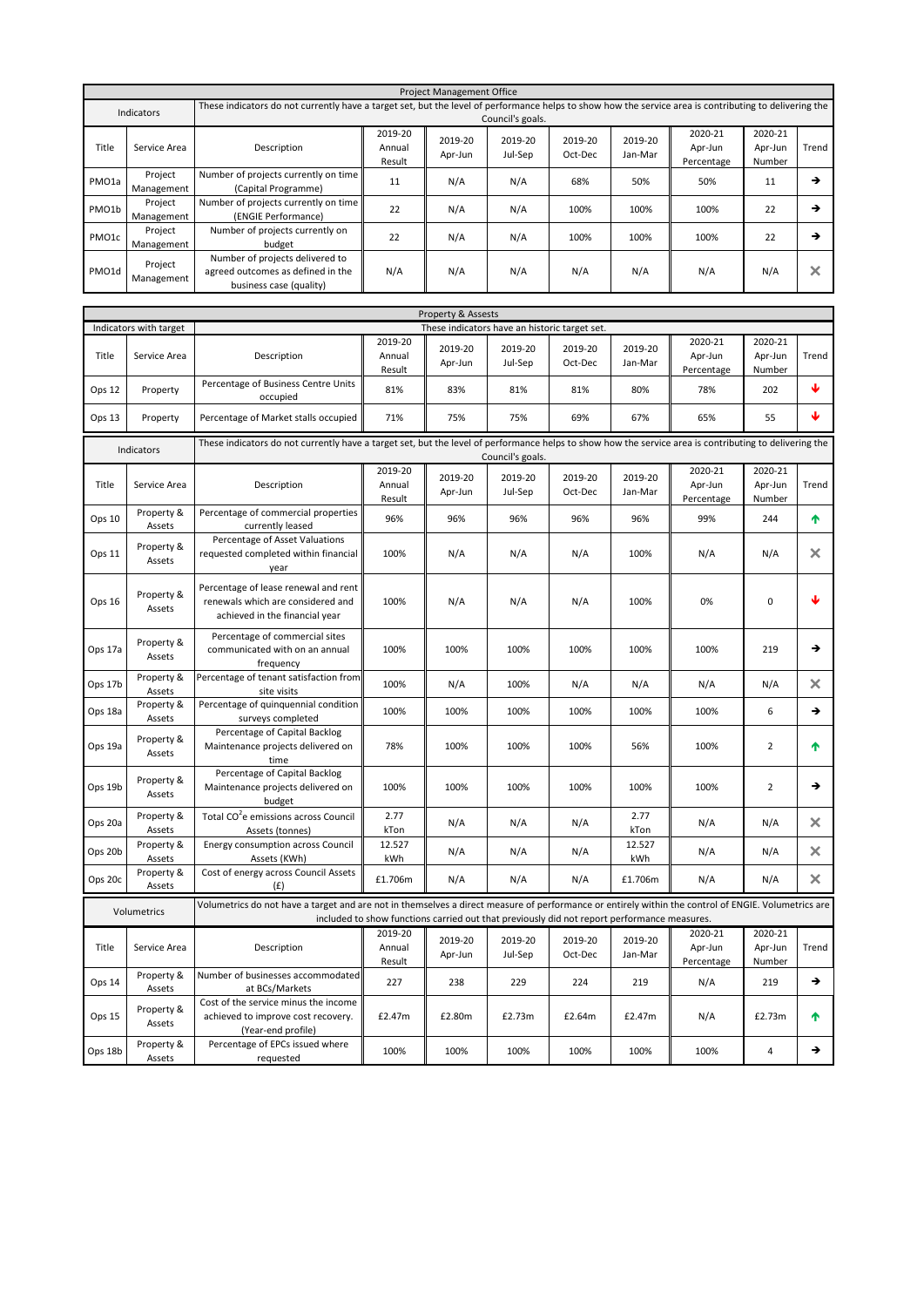|                    |                       |                                                                                                 |                                                                                                                                                        | <b>Project Management Office</b> |                    |                    |                    |                                  |                              |       |  |
|--------------------|-----------------------|-------------------------------------------------------------------------------------------------|--------------------------------------------------------------------------------------------------------------------------------------------------------|----------------------------------|--------------------|--------------------|--------------------|----------------------------------|------------------------------|-------|--|
|                    | Indicators            |                                                                                                 | These indicators do not currently have a target set, but the level of performance helps to show how the service area is contributing to delivering the |                                  |                    |                    |                    |                                  |                              |       |  |
|                    |                       | Council's goals.                                                                                |                                                                                                                                                        |                                  |                    |                    |                    |                                  |                              |       |  |
| Title              | Service Area          | Description                                                                                     | 2019-20<br>Annual<br>Result                                                                                                                            | 2019-20<br>Apr-Jun               | 2019-20<br>Jul-Sep | 2019-20<br>Oct-Dec | 2019-20<br>Jan-Mar | 2020-21<br>Apr-Jun<br>Percentage | 2020-21<br>Apr-Jun<br>Number | Trend |  |
| PMO <sub>1a</sub>  | Project<br>Management | Number of projects currently on time<br>(Capital Programme)                                     | 11                                                                                                                                                     | N/A                              | N/A                | 68%                | 50%                | 50%                              | 11                           | →     |  |
| PMO <sub>1</sub> b | Project<br>Management | Number of projects currently on time<br>(ENGIE Performance)                                     | 22                                                                                                                                                     | N/A                              | N/A                | 100%               | 100%               | 100%                             | 22                           | →     |  |
| PMO1c              | Project<br>Management | Number of projects currently on<br>budget                                                       | 22                                                                                                                                                     | N/A                              | N/A                | 100%               | 100%               | 100%                             | 22                           | →     |  |
| PMO1d              | Project<br>Management | Number of projects delivered to<br>agreed outcomes as defined in the<br>business case (quality) | N/A                                                                                                                                                    | N/A                              | N/A                | N/A                | N/A                | N/A                              | N/A                          | ×     |  |
|                    |                       |                                                                                                 |                                                                                                                                                        | <b>Property &amp; Accects</b>    |                    |                    |                    |                                  |                              |       |  |

|         |                        |                                                                                                                                                                            |                             | Property & Assests                                                                          |                    |                    |                    |                                  |                              |       |  |  |
|---------|------------------------|----------------------------------------------------------------------------------------------------------------------------------------------------------------------------|-----------------------------|---------------------------------------------------------------------------------------------|--------------------|--------------------|--------------------|----------------------------------|------------------------------|-------|--|--|
|         | Indicators with target |                                                                                                                                                                            |                             | These indicators have an historic target set.                                               |                    |                    |                    |                                  |                              |       |  |  |
| Title   | Service Area           | Description                                                                                                                                                                | 2019-20<br>Annual<br>Result | 2019-20<br>Apr-Jun                                                                          | 2019-20<br>Jul-Sep | 2019-20<br>Oct-Dec | 2019-20<br>Jan-Mar | 2020-21<br>Apr-Jun<br>Percentage | 2020-21<br>Apr-Jun<br>Number | Trend |  |  |
| Ops 12  | Property               | Percentage of Business Centre Units<br>occupied                                                                                                                            | 81%                         | 83%                                                                                         | 81%                | 81%                | 80%                | 78%                              | 202                          | Φ     |  |  |
| Ops 13  | Property               | Percentage of Market stalls occupied                                                                                                                                       | 71%                         | 75%                                                                                         | 75%                | 69%                | 67%                | 65%                              | 55                           | ↓     |  |  |
|         | Indicators             | These indicators do not currently have a target set, but the level of performance helps to show how the service area is contributing to delivering the<br>Council's goals. |                             |                                                                                             |                    |                    |                    |                                  |                              |       |  |  |
| Title   | Service Area           | Description                                                                                                                                                                | 2019-20<br>Annual<br>Result | 2019-20<br>Apr-Jun                                                                          | 2019-20<br>Jul-Sep | 2019-20<br>Oct-Dec | 2019-20<br>Jan-Mar | 2020-21<br>Apr-Jun<br>Percentage | 2020-21<br>Apr-Jun<br>Number | Trend |  |  |
| Ops 10  | Property &<br>Assets   | Percentage of commercial properties<br>currently leased                                                                                                                    | 96%                         | 96%                                                                                         | 96%                | 96%                | 96%                | 99%                              | 244                          | 不     |  |  |
| Ops 11  | Property &<br>Assets   | Percentage of Asset Valuations<br>requested completed within financial<br>vear                                                                                             | 100%                        | N/A                                                                                         | N/A                | N/A                | 100%               | N/A                              | N/A                          | ×     |  |  |
| Ops 16  | Property &<br>Assets   | Percentage of lease renewal and rent<br>renewals which are considered and<br>achieved in the financial year                                                                | 100%                        | N/A                                                                                         | N/A                | N/A                | 100%               | 0%                               | 0                            | J     |  |  |
| Ops 17a | Property &<br>Assets   | Percentage of commercial sites<br>communicated with on an annual<br>frequency                                                                                              | 100%                        | 100%                                                                                        | 100%               | 100%               | 100%               | 100%                             | 219                          | →     |  |  |
| Ops 17b | Property &<br>Assets   | Percentage of tenant satisfaction from<br>site visits                                                                                                                      | 100%                        | N/A                                                                                         | 100%               | N/A                | N/A                | N/A                              | N/A                          | ×     |  |  |
| Ops 18a | Property &<br>Assets   | Percentage of quinquennial condition<br>surveys completed                                                                                                                  | 100%                        | 100%                                                                                        | 100%               | 100%               | 100%               | 100%                             | 6                            | →     |  |  |
| Ops 19a | Property &<br>Assets   | Percentage of Capital Backlog<br>Maintenance projects delivered on<br>time                                                                                                 | 78%                         | 100%                                                                                        | 100%               | 100%               | 56%                | 100%                             | $\overline{2}$               | 个     |  |  |
| Ops 19b | Property &<br>Assets   | Percentage of Capital Backlog<br>Maintenance projects delivered on<br>budget                                                                                               | 100%                        | 100%                                                                                        | 100%               | 100%               | 100%               | 100%                             | $\overline{2}$               | →     |  |  |
| Ops 20a | Property &<br>Assets   | Total CO <sup>2</sup> e emissions across Council<br>Assets (tonnes)                                                                                                        | 2.77<br>kTon                | N/A                                                                                         | N/A                | N/A                | 2.77<br>kTon       | N/A                              | N/A                          | ×     |  |  |
| Ops 20b | Property &<br>Assets   | <b>Energy consumption across Council</b><br>Assets (KWh)                                                                                                                   | 12.527<br>kWh               | N/A                                                                                         | N/A                | N/A                | 12.527<br>kWh      | N/A                              | N/A                          | ×     |  |  |
| Ops 20c | Property &<br>Assets   | Cost of energy across Council Assets<br>(f)                                                                                                                                | £1.706m                     | N/A                                                                                         | N/A                | N/A                | £1.706m            | N/A                              | N/A                          | ×     |  |  |
|         | Volumetrics            | Volumetrics do not have a target and are not in themselves a direct measure of performance or entirely within the control of ENGIE. Volumetrics are                        |                             | included to show functions carried out that previously did not report performance measures. |                    |                    |                    |                                  |                              |       |  |  |
| Title   | Service Area           | Description                                                                                                                                                                | 2019-20<br>Annual<br>Result | 2019-20<br>Apr-Jun                                                                          | 2019-20<br>Jul-Sep | 2019-20<br>Oct-Dec | 2019-20<br>Jan-Mar | 2020-21<br>Apr-Jun<br>Percentage | 2020-21<br>Apr-Jun<br>Number | Trend |  |  |
| Ops 14  | Property &<br>Assets   | Number of businesses accommodated<br>at BCs/Markets                                                                                                                        | 227                         | 238                                                                                         | 229                | 224                | 219                | N/A                              | 219                          | →     |  |  |
| Ops 15  | Property &<br>Assets   | Cost of the service minus the income<br>achieved to improve cost recovery.<br>(Year-end profile)                                                                           | £2.47m                      | £2.80m                                                                                      | £2.73m             | £2.64m             | £2.47m             | N/A                              | £2.73m                       | ♠     |  |  |
| Ops 18b | Property &<br>Assets   | Percentage of EPCs issued where<br>requested                                                                                                                               | 100%                        | 100%                                                                                        | 100%               | 100%               | 100%               | 100%                             | 4                            | →     |  |  |